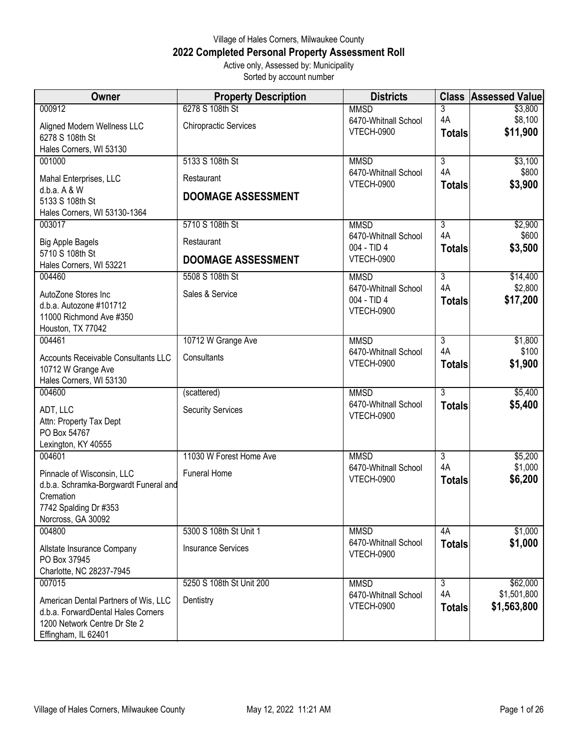## Village of Hales Corners, Milwaukee County **2022 Completed Personal Property Assessment Roll** Active only, Assessed by: Municipality

Sorted by account number

| <b>Owner</b>                                                                                                                      | <b>Property Description</b>                     | <b>Districts</b>                                         | <b>Class</b>             | <b>Assessed Value</b>          |
|-----------------------------------------------------------------------------------------------------------------------------------|-------------------------------------------------|----------------------------------------------------------|--------------------------|--------------------------------|
| 000912<br>Aligned Modern Wellness LLC<br>6278 S 108th St                                                                          | 6278 S 108th St<br><b>Chiropractic Services</b> | <b>MMSD</b><br>6470-Whitnall School<br><b>VTECH-0900</b> | 3<br>4A<br><b>Totals</b> | \$3,800<br>\$8,100<br>\$11,900 |
| Hales Corners, WI 53130                                                                                                           |                                                 |                                                          |                          |                                |
| 001000                                                                                                                            | 5133 S 108th St                                 | <b>MMSD</b><br>6470-Whitnall School                      | 3<br>4A                  | \$3,100<br>\$800               |
| Mahal Enterprises, LLC<br>d.b.a. A & W                                                                                            | Restaurant                                      | <b>VTECH-0900</b>                                        | <b>Totals</b>            | \$3,900                        |
| 5133 S 108th St                                                                                                                   | <b>DOOMAGE ASSESSMENT</b>                       |                                                          |                          |                                |
| Hales Corners, WI 53130-1364                                                                                                      |                                                 |                                                          |                          |                                |
| 003017                                                                                                                            | 5710 S 108th St                                 | <b>MMSD</b><br>6470-Whitnall School                      | $\overline{3}$<br>4A     | \$2,900<br>\$600               |
| <b>Big Apple Bagels</b><br>5710 S 108th St                                                                                        | Restaurant                                      | 004 - TID 4                                              | <b>Totals</b>            | \$3,500                        |
| Hales Corners, WI 53221                                                                                                           | <b>DOOMAGE ASSESSMENT</b>                       | VTECH-0900                                               |                          |                                |
| 004460                                                                                                                            | 5508 S 108th St                                 | <b>MMSD</b>                                              | $\overline{3}$           | \$14,400                       |
| AutoZone Stores Inc<br>d.b.a. Autozone #101712                                                                                    | Sales & Service                                 | 6470-Whitnall School<br>004 - TID 4<br>VTECH-0900        | 4A<br><b>Totals</b>      | \$2,800<br>\$17,200            |
| 11000 Richmond Ave #350                                                                                                           |                                                 |                                                          |                          |                                |
| Houston, TX 77042<br>004461                                                                                                       | 10712 W Grange Ave                              | <b>MMSD</b>                                              | $\overline{3}$           | \$1,800                        |
| <b>Accounts Receivable Consultants LLC</b><br>10712 W Grange Ave                                                                  | Consultants                                     | 6470-Whitnall School<br><b>VTECH-0900</b>                | 4A<br><b>Totals</b>      | \$100<br>\$1,900               |
| Hales Corners, WI 53130<br>004600                                                                                                 | (scattered)                                     | <b>MMSD</b>                                              | 3                        | \$5,400                        |
| ADT, LLC<br>Attn: Property Tax Dept<br>PO Box 54767<br>Lexington, KY 40555                                                        | <b>Security Services</b>                        | 6470-Whitnall School<br><b>VTECH-0900</b>                | <b>Totals</b>            | \$5,400                        |
| 004601                                                                                                                            | 11030 W Forest Home Ave                         | <b>MMSD</b>                                              | 3                        | \$5,200                        |
| Pinnacle of Wisconsin, LLC<br>d.b.a. Schramka-Borgwardt Funeral and<br>Cremation<br>7742 Spalding Dr #353<br>Norcross, GA 30092   | <b>Funeral Home</b>                             | 6470-Whitnall School<br>VTECH-0900                       | 4A<br><b>Totals</b>      | \$1,000<br>\$6,200             |
| 004800                                                                                                                            | 5300 S 108th St Unit 1                          | <b>MMSD</b>                                              | 4A                       | \$1,000                        |
| Allstate Insurance Company<br>PO Box 37945<br>Charlotte, NC 28237-7945                                                            | <b>Insurance Services</b>                       | 6470-Whitnall School<br><b>VTECH-0900</b>                | <b>Totals</b>            | \$1,000                        |
| 007015                                                                                                                            | 5250 S 108th St Unit 200                        | <b>MMSD</b>                                              | $\overline{3}$           | \$62,000                       |
| American Dental Partners of Wis, LLC<br>d.b.a. ForwardDental Hales Corners<br>1200 Network Centre Dr Ste 2<br>Effingham, IL 62401 | Dentistry                                       | 6470-Whitnall School<br><b>VTECH-0900</b>                | 4A<br><b>Totals</b>      | \$1,501,800<br>\$1,563,800     |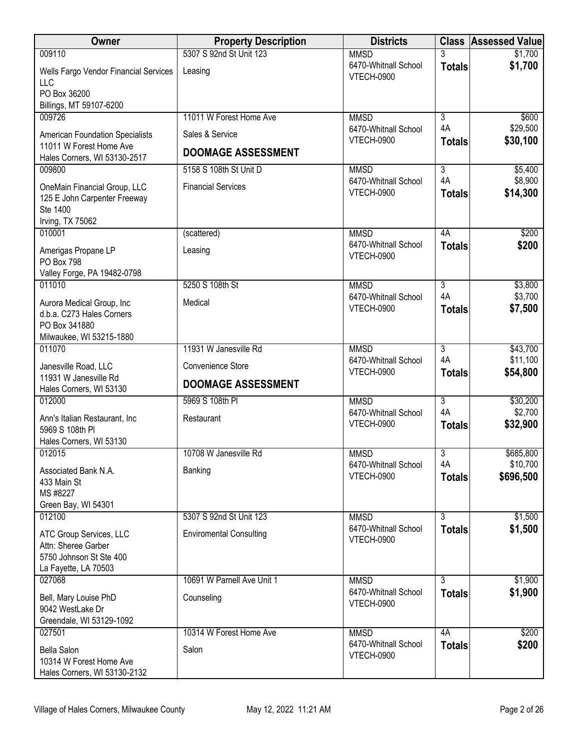| <b>Owner</b>                                                                                        | <b>Property Description</b>    | <b>Districts</b>                          |                     | <b>Class Assessed Value</b> |
|-----------------------------------------------------------------------------------------------------|--------------------------------|-------------------------------------------|---------------------|-----------------------------|
| 009110                                                                                              | 5307 S 92nd St Unit 123        | <b>MMSD</b>                               | 3                   | \$1,700                     |
| Wells Fargo Vendor Financial Services<br><b>LLC</b>                                                 | Leasing                        | 6470-Whitnall School<br>VTECH-0900        | <b>Totals</b>       | \$1,700                     |
| PO Box 36200<br>Billings, MT 59107-6200                                                             |                                |                                           |                     |                             |
| 009726                                                                                              | 11011 W Forest Home Ave        | <b>MMSD</b>                               | $\overline{3}$      | \$600                       |
| <b>American Foundation Specialists</b>                                                              | Sales & Service                | 6470-Whitnall School                      | 4A                  | \$29,500                    |
| 11011 W Forest Home Ave<br>Hales Corners, WI 53130-2517                                             | <b>DOOMAGE ASSESSMENT</b>      | <b>VTECH-0900</b>                         | <b>Totals</b>       | \$30,100                    |
| 009800                                                                                              | 5158 S 108th St Unit D         | <b>MMSD</b>                               | $\overline{3}$      | \$5,400                     |
| OneMain Financial Group, LLC<br>125 E John Carpenter Freeway<br>Ste 1400                            | <b>Financial Services</b>      | 6470-Whitnall School<br>VTECH-0900        | 4A<br><b>Totals</b> | \$8,900<br>\$14,300         |
| Irving, TX 75062                                                                                    |                                |                                           |                     |                             |
| 010001                                                                                              | (scattered)                    | <b>MMSD</b>                               | 4A                  | \$200                       |
| Amerigas Propane LP<br><b>PO Box 798</b>                                                            | Leasing                        | 6470-Whitnall School<br><b>VTECH-0900</b> | <b>Totals</b>       | \$200                       |
| Valley Forge, PA 19482-0798                                                                         |                                |                                           |                     |                             |
| 011010                                                                                              | 5250 S 108th St                | <b>MMSD</b>                               | $\overline{3}$      | \$3,800                     |
| Aurora Medical Group, Inc<br>d.b.a. C273 Hales Corners<br>PO Box 341880<br>Milwaukee, WI 53215-1880 | Medical                        | 6470-Whitnall School<br><b>VTECH-0900</b> | 4A<br><b>Totals</b> | \$3,700<br>\$7,500          |
| 011070                                                                                              | 11931 W Janesville Rd          | <b>MMSD</b>                               | $\overline{3}$      | \$43,700                    |
| Janesville Road, LLC<br>11931 W Janesville Rd                                                       | Convenience Store              | 6470-Whitnall School<br>VTECH-0900        | 4A<br><b>Totals</b> | \$11,100<br>\$54,800        |
| Hales Corners, WI 53130                                                                             | <b>DOOMAGE ASSESSMENT</b>      |                                           |                     |                             |
| 012000                                                                                              | 5969 S 108th PI                | <b>MMSD</b>                               | $\overline{3}$      | \$30,200                    |
| Ann's Italian Restaurant, Inc.<br>5969 S 108th PI<br>Hales Corners, WI 53130                        | Restaurant                     | 6470-Whitnall School<br><b>VTECH-0900</b> | 4A<br><b>Totals</b> | \$2,700<br>\$32,900         |
| 012015                                                                                              | 10708 W Janesville Rd          | <b>MMSD</b>                               | 3                   | \$685,800                   |
| Associated Bank N.A.<br>433 Main St<br>MS #8227<br>Green Bay, WI 54301                              | Banking                        | 6470-Whitnall School<br><b>VTECH-0900</b> | 4A<br><b>Totals</b> | \$10,700<br>\$696,500       |
| 012100                                                                                              | 5307 S 92nd St Unit 123        | <b>MMSD</b>                               | $\overline{3}$      | \$1,500                     |
| ATC Group Services, LLC<br>Attn: Sheree Garber<br>5750 Johnson St Ste 400<br>La Fayette, LA 70503   | <b>Enviromental Consulting</b> | 6470-Whitnall School<br><b>VTECH-0900</b> | <b>Totals</b>       | \$1,500                     |
| 027068                                                                                              | 10691 W Parnell Ave Unit 1     | <b>MMSD</b>                               | $\overline{3}$      | \$1,900                     |
| Bell, Mary Louise PhD<br>9042 WestLake Dr<br>Greendale, WI 53129-1092                               | Counseling                     | 6470-Whitnall School<br><b>VTECH-0900</b> | <b>Totals</b>       | \$1,900                     |
| 027501                                                                                              | 10314 W Forest Home Ave        | <b>MMSD</b>                               | 4A                  | \$200                       |
| <b>Bella Salon</b><br>10314 W Forest Home Ave<br>Hales Corners, WI 53130-2132                       | Salon                          | 6470-Whitnall School<br><b>VTECH-0900</b> | <b>Totals</b>       | \$200                       |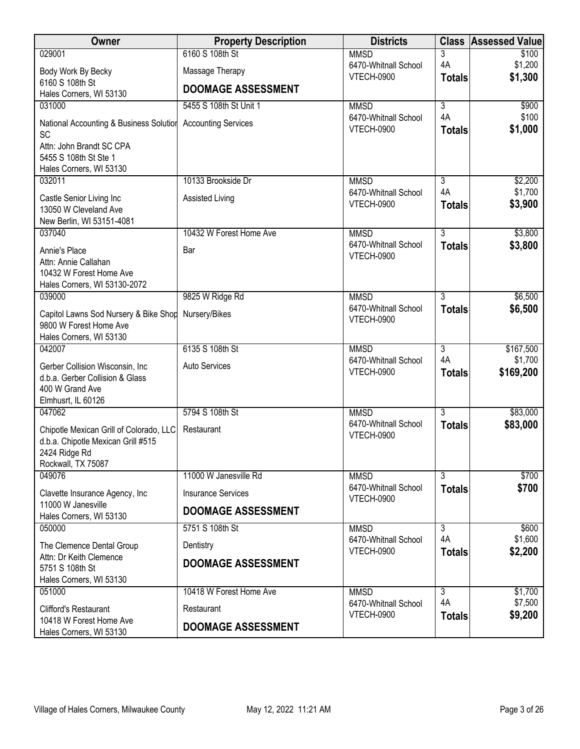| Owner                                                                                      | <b>Property Description</b> | <b>Districts</b>                          | <b>Class</b>              | <b>Assessed Value</b> |
|--------------------------------------------------------------------------------------------|-----------------------------|-------------------------------------------|---------------------------|-----------------------|
| 029001                                                                                     | 6160 S 108th St             | <b>MMSD</b>                               | 3                         | \$100                 |
| Body Work By Becky                                                                         | Massage Therapy             | 6470-Whitnall School<br><b>VTECH-0900</b> | 4A<br><b>Totals</b>       | \$1,200<br>\$1,300    |
| 6160 S 108th St<br>Hales Corners, WI 53130                                                 | <b>DOOMAGE ASSESSMENT</b>   |                                           |                           |                       |
| 031000                                                                                     | 5455 S 108th St Unit 1      | <b>MMSD</b>                               | $\overline{\overline{3}}$ | \$900                 |
| National Accounting & Business Solution<br>SC                                              | <b>Accounting Services</b>  | 6470-Whitnall School<br><b>VTECH-0900</b> | 4A<br><b>Totals</b>       | \$100<br>\$1,000      |
| Attn: John Brandt SC CPA<br>5455 S 108th St Ste 1                                          |                             |                                           |                           |                       |
| Hales Corners, WI 53130                                                                    |                             |                                           |                           |                       |
| 032011                                                                                     | 10133 Brookside Dr          | <b>MMSD</b><br>6470-Whitnall School       | 3<br>4A                   | \$2,200<br>\$1,700    |
| Castle Senior Living Inc<br>13050 W Cleveland Ave<br>New Berlin, WI 53151-4081             | Assisted Living             | <b>VTECH-0900</b>                         | <b>Totals</b>             | \$3,900               |
| 037040                                                                                     | 10432 W Forest Home Ave     | <b>MMSD</b>                               | $\overline{3}$            | \$3,800               |
| Annie's Place<br>Attn: Annie Callahan                                                      | Bar                         | 6470-Whitnall School<br><b>VTECH-0900</b> | <b>Totals</b>             | \$3,800               |
| 10432 W Forest Home Ave<br>Hales Corners, WI 53130-2072                                    |                             |                                           |                           |                       |
| 039000                                                                                     | 9825 W Ridge Rd             | <b>MMSD</b>                               | $\overline{3}$            | \$6,500               |
| Capitol Lawns Sod Nursery & Bike Shop<br>9800 W Forest Home Ave<br>Hales Corners, WI 53130 | Nursery/Bikes               | 6470-Whitnall School<br><b>VTECH-0900</b> | <b>Totals</b>             | \$6,500               |
| 042007                                                                                     | 6135 S 108th St             | <b>MMSD</b>                               | $\overline{3}$            | \$167,500             |
| Gerber Collision Wisconsin, Inc<br>d.b.a. Gerber Collision & Glass                         | <b>Auto Services</b>        | 6470-Whitnall School<br><b>VTECH-0900</b> | 4A<br><b>Totals</b>       | \$1,700<br>\$169,200  |
| 400 W Grand Ave<br>Elmhusrt, IL 60126                                                      |                             |                                           |                           |                       |
| 047062                                                                                     | 5794 S 108th St             | <b>MMSD</b>                               | $\overline{3}$            | \$83,000              |
| Chipotle Mexican Grill of Colorado, LLC                                                    | Restaurant                  | 6470-Whitnall School                      | <b>Totals</b>             | \$83,000              |
| d.b.a. Chipotle Mexican Grill #515<br>2424 Ridge Rd<br>Rockwall, TX 75087                  |                             | <b>VTECH-0900</b>                         |                           |                       |
| 049076                                                                                     | 11000 W Janesville Rd       | <b>MMSD</b>                               | $\overline{3}$            | \$700                 |
| Clavette Insurance Agency, Inc                                                             | <b>Insurance Services</b>   | 6470-Whitnall School                      | <b>Totals</b>             | \$700                 |
| 11000 W Janesville<br>Hales Corners, WI 53130                                              | <b>DOOMAGE ASSESSMENT</b>   | <b>VTECH-0900</b>                         |                           |                       |
| 050000                                                                                     | 5751 S 108th St             | <b>MMSD</b>                               | 3                         | \$600                 |
| The Clemence Dental Group                                                                  | Dentistry                   | 6470-Whitnall School<br><b>VTECH-0900</b> | 4A<br><b>Totals</b>       | \$1,600<br>\$2,200    |
| Attn: Dr Keith Clemence<br>5751 S 108th St<br>Hales Corners, WI 53130                      | <b>DOOMAGE ASSESSMENT</b>   |                                           |                           |                       |
| 051000                                                                                     | 10418 W Forest Home Ave     | <b>MMSD</b>                               | $\overline{3}$            | \$1,700               |
| <b>Clifford's Restaurant</b>                                                               | Restaurant                  | 6470-Whitnall School<br><b>VTECH-0900</b> | 4A<br><b>Totals</b>       | \$7,500<br>\$9,200    |
| 10418 W Forest Home Ave<br>Hales Corners, WI 53130                                         | <b>DOOMAGE ASSESSMENT</b>   |                                           |                           |                       |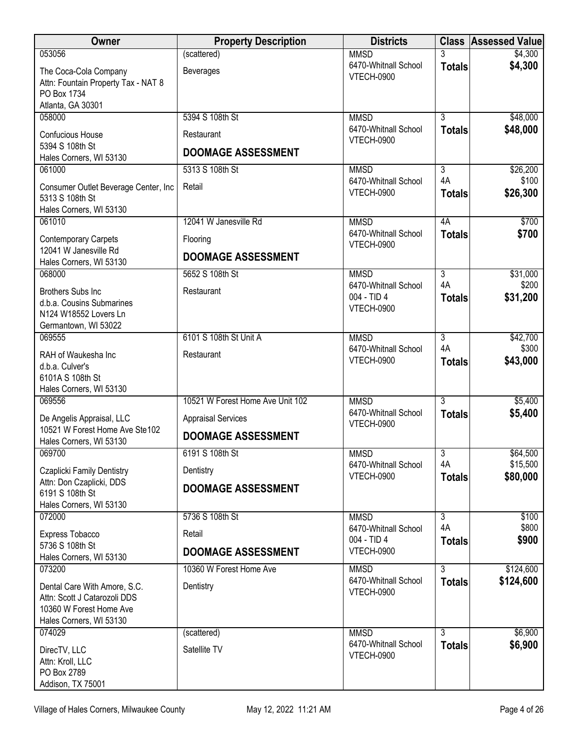| <b>Owner</b>                                            | <b>Property Description</b>      | <b>Districts</b>                    | <b>Class</b>         | <b>Assessed Value</b> |
|---------------------------------------------------------|----------------------------------|-------------------------------------|----------------------|-----------------------|
| 053056                                                  | (scattered)                      | <b>MMSD</b>                         | 3                    | \$4,300               |
| The Coca-Cola Company                                   | <b>Beverages</b>                 | 6470-Whitnall School<br>VTECH-0900  | <b>Totals</b>        | \$4,300               |
| Attn: Fountain Property Tax - NAT 8<br>PO Box 1734      |                                  |                                     |                      |                       |
| Atlanta, GA 30301                                       |                                  |                                     |                      |                       |
| 058000                                                  | 5394 S 108th St                  | <b>MMSD</b>                         | $\overline{3}$       | \$48,000              |
| Confucious House                                        | Restaurant                       | 6470-Whitnall School<br>VTECH-0900  | <b>Totals</b>        | \$48,000              |
| 5394 S 108th St                                         | <b>DOOMAGE ASSESSMENT</b>        |                                     |                      |                       |
| Hales Corners, WI 53130<br>061000                       | 5313 S 108th St                  | <b>MMSD</b>                         | 3                    | \$26,200              |
|                                                         |                                  | 6470-Whitnall School                | 4A                   | \$100                 |
| Consumer Outlet Beverage Center, Inc<br>5313 S 108th St | Retail                           | VTECH-0900                          | <b>Totals</b>        | \$26,300              |
| Hales Corners, WI 53130                                 |                                  |                                     |                      |                       |
| 061010                                                  | 12041 W Janesville Rd            | <b>MMSD</b>                         | 4A                   | \$700                 |
| <b>Contemporary Carpets</b>                             | Flooring                         | 6470-Whitnall School                | <b>Totals</b>        | \$700                 |
| 12041 W Janesville Rd                                   | <b>DOOMAGE ASSESSMENT</b>        | <b>VTECH-0900</b>                   |                      |                       |
| Hales Corners, WI 53130                                 | 5652 S 108th St                  |                                     |                      |                       |
| 068000                                                  |                                  | <b>MMSD</b><br>6470-Whitnall School | $\overline{3}$<br>4A | \$31,000<br>\$200     |
| <b>Brothers Subs Inc</b><br>d.b.a. Cousins Submarines   | Restaurant                       | 004 - TID 4                         | <b>Totals</b>        | \$31,200              |
| N124 W18552 Lovers Ln                                   |                                  | <b>VTECH-0900</b>                   |                      |                       |
| Germantown, WI 53022                                    |                                  |                                     |                      |                       |
| 069555                                                  | 6101 S 108th St Unit A           | <b>MMSD</b>                         | $\overline{3}$<br>4A | \$42,700              |
| RAH of Waukesha Inc                                     | Restaurant                       | 6470-Whitnall School<br>VTECH-0900  | <b>Totals</b>        | \$300<br>\$43,000     |
| d.b.a. Culver's<br>6101A S 108th St                     |                                  |                                     |                      |                       |
| Hales Corners, WI 53130                                 |                                  |                                     |                      |                       |
| 069556                                                  | 10521 W Forest Home Ave Unit 102 | <b>MMSD</b>                         | $\overline{3}$       | \$5,400               |
| De Angelis Appraisal, LLC                               | <b>Appraisal Services</b>        | 6470-Whitnall School                | <b>Totals</b>        | \$5,400               |
| 10521 W Forest Home Ave Ste102                          | <b>DOOMAGE ASSESSMENT</b>        | VTECH-0900                          |                      |                       |
| Hales Corners, WI 53130<br>069700                       | 6191 S 108th St                  | <b>MMSD</b>                         | 3                    | \$64,500              |
|                                                         |                                  | 6470-Whitnall School                | 4A                   | \$15,500              |
| Czaplicki Family Dentistry<br>Attn: Don Czaplicki, DDS  | Dentistry                        | <b>VTECH-0900</b>                   | <b>Totals</b>        | \$80,000              |
| 6191 S 108th St                                         | <b>DOOMAGE ASSESSMENT</b>        |                                     |                      |                       |
| Hales Corners, WI 53130                                 |                                  |                                     |                      |                       |
| 072000                                                  | 5736 S 108th St                  | <b>MMSD</b>                         | $\overline{3}$<br>4A | \$100<br>\$800        |
| Express Tobacco                                         | Retail                           | 6470-Whitnall School<br>004 - TID 4 | <b>Totals</b>        | \$900                 |
| 5736 S 108th St<br>Hales Corners, WI 53130              | <b>DOOMAGE ASSESSMENT</b>        | <b>VTECH-0900</b>                   |                      |                       |
| 073200                                                  | 10360 W Forest Home Ave          | <b>MMSD</b>                         | $\overline{3}$       | \$124,600             |
| Dental Care With Amore, S.C.                            | Dentistry                        | 6470-Whitnall School                | <b>Totals</b>        | \$124,600             |
| Attn: Scott J Catarozoli DDS                            |                                  | VTECH-0900                          |                      |                       |
| 10360 W Forest Home Ave                                 |                                  |                                     |                      |                       |
| Hales Corners, WI 53130                                 |                                  |                                     | $\overline{3}$       |                       |
| 074029                                                  | (scattered)                      | <b>MMSD</b><br>6470-Whitnall School | <b>Totals</b>        | \$6,900<br>\$6,900    |
| DirecTV, LLC<br>Attn: Kroll, LLC                        | Satellite TV                     | VTECH-0900                          |                      |                       |
| PO Box 2789                                             |                                  |                                     |                      |                       |
| Addison, TX 75001                                       |                                  |                                     |                      |                       |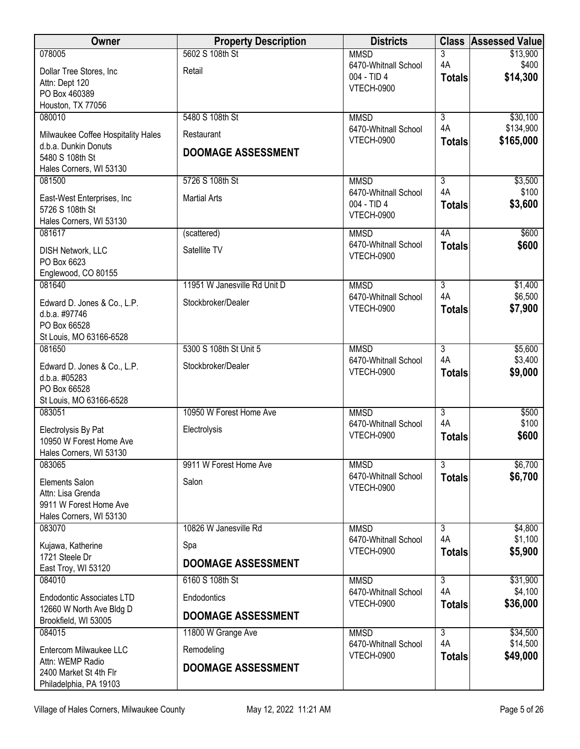| 5602 S 108th St<br>078005<br>3<br>\$13,900<br><b>MMSD</b><br>4A<br>\$400<br>6470-Whitnall School<br>Dollar Tree Stores, Inc<br>Retail<br>\$14,300<br>004 - TID 4<br><b>Totals</b><br>Attn: Dept 120<br><b>VTECH-0900</b><br>PO Box 460389<br>Houston, TX 77056<br>$\overline{3}$<br>\$30,100<br>080010<br>5480 S 108th St<br><b>MMSD</b><br>4A<br>\$134,900<br>6470-Whitnall School<br>Restaurant<br>Milwaukee Coffee Hospitality Hales<br>\$165,000<br><b>VTECH-0900</b><br><b>Totals</b><br>d.b.a. Dunkin Donuts |
|--------------------------------------------------------------------------------------------------------------------------------------------------------------------------------------------------------------------------------------------------------------------------------------------------------------------------------------------------------------------------------------------------------------------------------------------------------------------------------------------------------------------|
|                                                                                                                                                                                                                                                                                                                                                                                                                                                                                                                    |
|                                                                                                                                                                                                                                                                                                                                                                                                                                                                                                                    |
|                                                                                                                                                                                                                                                                                                                                                                                                                                                                                                                    |
|                                                                                                                                                                                                                                                                                                                                                                                                                                                                                                                    |
|                                                                                                                                                                                                                                                                                                                                                                                                                                                                                                                    |
|                                                                                                                                                                                                                                                                                                                                                                                                                                                                                                                    |
|                                                                                                                                                                                                                                                                                                                                                                                                                                                                                                                    |
| <b>DOOMAGE ASSESSMENT</b><br>5480 S 108th St                                                                                                                                                                                                                                                                                                                                                                                                                                                                       |
| Hales Corners, WI 53130                                                                                                                                                                                                                                                                                                                                                                                                                                                                                            |
| 5726 S 108th St<br>$\overline{\overline{3}}$<br>081500<br><b>MMSD</b><br>\$3,500                                                                                                                                                                                                                                                                                                                                                                                                                                   |
| 4A<br>\$100<br>6470-Whitnall School<br><b>Martial Arts</b><br>East-West Enterprises, Inc                                                                                                                                                                                                                                                                                                                                                                                                                           |
| 004 - TID 4<br>\$3,600<br><b>Totals</b><br>5726 S 108th St                                                                                                                                                                                                                                                                                                                                                                                                                                                         |
| <b>VTECH-0900</b><br>Hales Corners, WI 53130                                                                                                                                                                                                                                                                                                                                                                                                                                                                       |
| 081617<br>4A<br>\$600<br>(scattered)<br><b>MMSD</b>                                                                                                                                                                                                                                                                                                                                                                                                                                                                |
| \$600<br>6470-Whitnall School<br><b>Totals</b><br>Satellite TV<br>DISH Network, LLC                                                                                                                                                                                                                                                                                                                                                                                                                                |
| <b>VTECH-0900</b><br>PO Box 6623                                                                                                                                                                                                                                                                                                                                                                                                                                                                                   |
| Englewood, CO 80155                                                                                                                                                                                                                                                                                                                                                                                                                                                                                                |
| 081640<br>11951 W Janesville Rd Unit D<br>$\overline{3}$<br>\$1,400<br><b>MMSD</b><br>\$6,500<br>4A                                                                                                                                                                                                                                                                                                                                                                                                                |
| 6470-Whitnall School<br>Stockbroker/Dealer<br>Edward D. Jones & Co., L.P.<br>\$7,900<br>VTECH-0900<br><b>Totals</b>                                                                                                                                                                                                                                                                                                                                                                                                |
| d.b.a. #97746                                                                                                                                                                                                                                                                                                                                                                                                                                                                                                      |
| PO Box 66528<br>St Louis, MO 63166-6528                                                                                                                                                                                                                                                                                                                                                                                                                                                                            |
| 5300 S 108th St Unit 5<br>$\overline{3}$<br>\$5,600<br>081650<br><b>MMSD</b>                                                                                                                                                                                                                                                                                                                                                                                                                                       |
| 4A<br>\$3,400<br>6470-Whitnall School                                                                                                                                                                                                                                                                                                                                                                                                                                                                              |
| Stockbroker/Dealer<br>Edward D. Jones & Co., L.P.<br>\$9,000<br><b>VTECH-0900</b><br><b>Totals</b><br>d.b.a. #05283                                                                                                                                                                                                                                                                                                                                                                                                |
| PO Box 66528                                                                                                                                                                                                                                                                                                                                                                                                                                                                                                       |
| St Louis, MO 63166-6528                                                                                                                                                                                                                                                                                                                                                                                                                                                                                            |
| $\overline{3}$<br>083051<br>10950 W Forest Home Ave<br><b>MMSD</b><br>\$500                                                                                                                                                                                                                                                                                                                                                                                                                                        |
| 4A<br>\$100<br>6470-Whitnall School<br>Electrolysis By Pat<br>Electrolysis                                                                                                                                                                                                                                                                                                                                                                                                                                         |
| <b>VTECH-0900</b><br>\$600<br><b>Totals</b><br>10950 W Forest Home Ave                                                                                                                                                                                                                                                                                                                                                                                                                                             |
| Hales Corners, WI 53130                                                                                                                                                                                                                                                                                                                                                                                                                                                                                            |
| 3<br>083065<br>9911 W Forest Home Ave<br>\$6,700<br><b>MMSD</b><br>\$6,700<br>6470-Whitnall School                                                                                                                                                                                                                                                                                                                                                                                                                 |
| <b>Totals</b><br>Salon<br><b>Elements Salon</b><br><b>VTECH-0900</b>                                                                                                                                                                                                                                                                                                                                                                                                                                               |
| Attn: Lisa Grenda                                                                                                                                                                                                                                                                                                                                                                                                                                                                                                  |
| 9911 W Forest Home Ave<br>Hales Corners, WI 53130                                                                                                                                                                                                                                                                                                                                                                                                                                                                  |
| $\overline{3}$<br>083070<br>10826 W Janesville Rd<br><b>MMSD</b><br>\$4,800                                                                                                                                                                                                                                                                                                                                                                                                                                        |
| 4A<br>\$1,100<br>6470-Whitnall School<br>Kujawa, Katherine<br>Spa                                                                                                                                                                                                                                                                                                                                                                                                                                                  |
| \$5,900<br><b>VTECH-0900</b><br><b>Totals</b><br>1721 Steele Dr                                                                                                                                                                                                                                                                                                                                                                                                                                                    |
| <b>DOOMAGE ASSESSMENT</b><br>East Troy, WI 53120                                                                                                                                                                                                                                                                                                                                                                                                                                                                   |
| 084010<br>6160 S 108th St<br>\$31,900<br><b>MMSD</b><br>$\overline{3}$                                                                                                                                                                                                                                                                                                                                                                                                                                             |
| \$4,100<br>4A<br>6470-Whitnall School<br><b>Endodontic Associates LTD</b><br>Endodontics                                                                                                                                                                                                                                                                                                                                                                                                                           |
| \$36,000<br><b>VTECH-0900</b><br><b>Totals</b><br>12660 W North Ave Bldg D                                                                                                                                                                                                                                                                                                                                                                                                                                         |
| <b>DOOMAGE ASSESSMENT</b><br>Brookfield, WI 53005                                                                                                                                                                                                                                                                                                                                                                                                                                                                  |
| \$34,500<br>084015<br><b>MMSD</b><br>$\overline{3}$<br>11800 W Grange Ave                                                                                                                                                                                                                                                                                                                                                                                                                                          |
| 4A<br>\$14,500<br>6470-Whitnall School<br>Entercom Milwaukee LLC<br>Remodeling<br>\$49,000<br><b>VTECH-0900</b>                                                                                                                                                                                                                                                                                                                                                                                                    |
| <b>Totals</b><br>Attn: WEMP Radio<br><b>DOOMAGE ASSESSMENT</b>                                                                                                                                                                                                                                                                                                                                                                                                                                                     |
| 2400 Market St 4th Flr<br>Philadelphia, PA 19103                                                                                                                                                                                                                                                                                                                                                                                                                                                                   |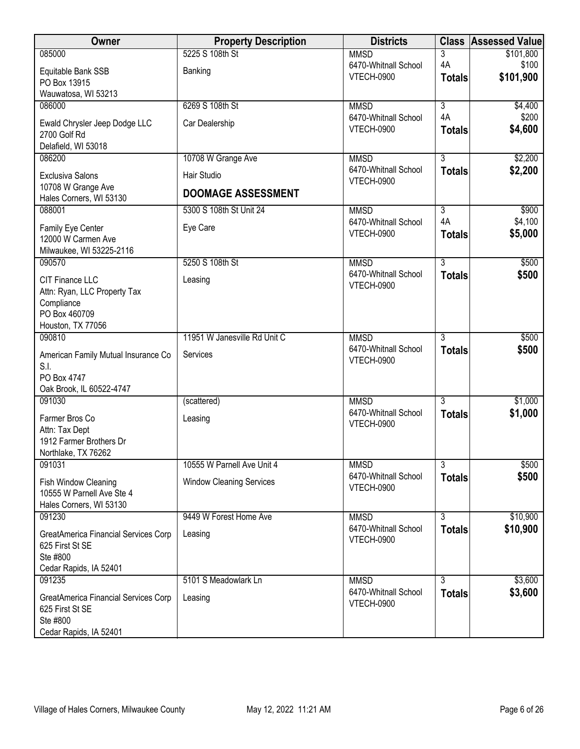| Owner                                                   | <b>Property Description</b>     | <b>Districts</b>                          | <b>Class</b>                    | <b>Assessed Value</b> |
|---------------------------------------------------------|---------------------------------|-------------------------------------------|---------------------------------|-----------------------|
| 085000                                                  | 5225 S 108th St                 | <b>MMSD</b>                               | 3                               | \$101,800             |
| Equitable Bank SSB                                      | Banking                         | 6470-Whitnall School<br><b>VTECH-0900</b> | 4A<br><b>Totals</b>             | \$100<br>\$101,900    |
| PO Box 13915<br>Wauwatosa, WI 53213                     |                                 |                                           |                                 |                       |
| 086000                                                  | 6269 S 108th St                 | <b>MMSD</b>                               | $\overline{3}$                  | \$4,400               |
| Ewald Chrysler Jeep Dodge LLC                           | Car Dealership                  | 6470-Whitnall School                      | 4A                              | \$200                 |
| 2700 Golf Rd                                            |                                 | <b>VTECH-0900</b>                         | <b>Totals</b>                   | \$4,600               |
| Delafield, WI 53018                                     |                                 |                                           |                                 |                       |
| 086200                                                  | 10708 W Grange Ave              | <b>MMSD</b>                               | $\overline{3}$                  | \$2,200               |
| <b>Exclusiva Salons</b>                                 | Hair Studio                     | 6470-Whitnall School<br><b>VTECH-0900</b> | <b>Totals</b>                   | \$2,200               |
| 10708 W Grange Ave<br>Hales Corners, WI 53130           | <b>DOOMAGE ASSESSMENT</b>       |                                           |                                 |                       |
| 088001                                                  | 5300 S 108th St Unit 24         | <b>MMSD</b>                               | $\overline{3}$                  | \$900                 |
| Family Eye Center                                       | Eye Care                        | 6470-Whitnall School                      | 4A                              | \$4,100               |
| 12000 W Carmen Ave                                      |                                 | <b>VTECH-0900</b>                         | <b>Totals</b>                   | \$5,000               |
| Milwaukee, WI 53225-2116                                |                                 |                                           |                                 |                       |
| 090570                                                  | 5250 S 108th St                 | <b>MMSD</b>                               | $\overline{3}$                  | \$500                 |
| <b>CIT Finance LLC</b>                                  | Leasing                         | 6470-Whitnall School<br><b>VTECH-0900</b> | <b>Totals</b>                   | \$500                 |
| Attn: Ryan, LLC Property Tax<br>Compliance              |                                 |                                           |                                 |                       |
| PO Box 460709                                           |                                 |                                           |                                 |                       |
| Houston, TX 77056                                       |                                 |                                           |                                 |                       |
| 090810                                                  | 11951 W Janesville Rd Unit C    | <b>MMSD</b><br>6470-Whitnall School       | $\overline{3}$                  | \$500                 |
| American Family Mutual Insurance Co                     | Services                        | <b>VTECH-0900</b>                         | <b>Totals</b>                   | \$500                 |
| S.I.<br>PO Box 4747                                     |                                 |                                           |                                 |                       |
| Oak Brook, IL 60522-4747                                |                                 |                                           |                                 |                       |
| 091030                                                  | (scattered)                     | <b>MMSD</b>                               | $\overline{3}$                  | \$1,000               |
| Farmer Bros Co                                          | Leasing                         | 6470-Whitnall School<br><b>VTECH-0900</b> | <b>Totals</b>                   | \$1,000               |
| Attn: Tax Dept                                          |                                 |                                           |                                 |                       |
| 1912 Farmer Brothers Dr<br>Northlake, TX 76262          |                                 |                                           |                                 |                       |
| 091031                                                  | 10555 W Parnell Ave Unit 4      | <b>MMSD</b>                               | $\overline{3}$                  | \$500                 |
| Fish Window Cleaning                                    | <b>Window Cleaning Services</b> | 6470-Whitnall School                      | <b>Totals</b>                   | \$500                 |
| 10555 W Parnell Ave Ste 4                               |                                 | <b>VTECH-0900</b>                         |                                 |                       |
| Hales Corners, WI 53130                                 |                                 |                                           |                                 |                       |
| 091230                                                  | 9449 W Forest Home Ave          | <b>MMSD</b><br>6470-Whitnall School       | $\overline{3}$<br><b>Totals</b> | \$10,900<br>\$10,900  |
| GreatAmerica Financial Services Corp<br>625 First St SE | Leasing                         | <b>VTECH-0900</b>                         |                                 |                       |
| Ste #800                                                |                                 |                                           |                                 |                       |
| Cedar Rapids, IA 52401                                  |                                 |                                           |                                 |                       |
| 091235                                                  | 5101 S Meadowlark Ln            | <b>MMSD</b>                               | 3                               | \$3,600               |
| GreatAmerica Financial Services Corp                    | Leasing                         | 6470-Whitnall School<br><b>VTECH-0900</b> | <b>Totals</b>                   | \$3,600               |
| 625 First St SE<br>Ste #800                             |                                 |                                           |                                 |                       |
| Cedar Rapids, IA 52401                                  |                                 |                                           |                                 |                       |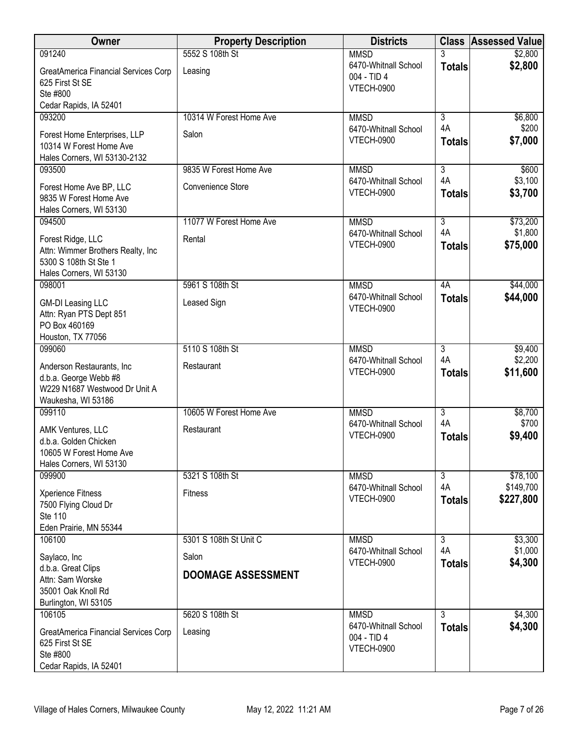| Owner                                                  | <b>Property Description</b> | <b>Districts</b>                    |                      | <b>Class Assessed Value</b> |
|--------------------------------------------------------|-----------------------------|-------------------------------------|----------------------|-----------------------------|
| 091240                                                 | 5552 S 108th St             | <b>MMSD</b>                         | 3                    | \$2,800                     |
| GreatAmerica Financial Services Corp                   | Leasing                     | 6470-Whitnall School<br>004 - TID 4 | <b>Totals</b>        | \$2,800                     |
| 625 First St SE<br>Ste #800                            |                             | <b>VTECH-0900</b>                   |                      |                             |
| Cedar Rapids, IA 52401                                 |                             |                                     |                      |                             |
| 093200                                                 | 10314 W Forest Home Ave     | <b>MMSD</b>                         | $\overline{3}$       | \$6,800                     |
| Forest Home Enterprises, LLP                           | Salon                       | 6470-Whitnall School                | 4A                   | \$200                       |
| 10314 W Forest Home Ave                                |                             | <b>VTECH-0900</b>                   | <b>Totals</b>        | \$7,000                     |
| Hales Corners, WI 53130-2132                           |                             |                                     |                      |                             |
| 093500                                                 | 9835 W Forest Home Ave      | <b>MMSD</b><br>6470-Whitnall School | 3<br>4A              | \$600<br>\$3,100            |
| Forest Home Ave BP, LLC                                | Convenience Store           | VTECH-0900                          | <b>Totals</b>        | \$3,700                     |
| 9835 W Forest Home Ave<br>Hales Corners, WI 53130      |                             |                                     |                      |                             |
| 094500                                                 | 11077 W Forest Home Ave     | <b>MMSD</b>                         | $\overline{3}$       | \$73,200                    |
| Forest Ridge, LLC                                      | Rental                      | 6470-Whitnall School                | 4A                   | \$1,800                     |
| Attn: Wimmer Brothers Realty, Inc                      |                             | VTECH-0900                          | <b>Totals</b>        | \$75,000                    |
| 5300 S 108th St Ste 1                                  |                             |                                     |                      |                             |
| Hales Corners, WI 53130<br>098001                      | 5961 S 108th St             | <b>MMSD</b>                         | 4A                   | \$44,000                    |
|                                                        |                             | 6470-Whitnall School                | <b>Totals</b>        | \$44,000                    |
| <b>GM-DI Leasing LLC</b><br>Attn: Ryan PTS Dept 851    | Leased Sign                 | VTECH-0900                          |                      |                             |
| PO Box 460169                                          |                             |                                     |                      |                             |
| Houston, TX 77056                                      |                             |                                     |                      |                             |
| 099060                                                 | 5110 S 108th St             | <b>MMSD</b>                         | $\overline{3}$       | \$9,400                     |
| Anderson Restaurants, Inc.                             | Restaurant                  | 6470-Whitnall School<br>VTECH-0900  | 4A<br><b>Totals</b>  | \$2,200<br>\$11,600         |
| d.b.a. George Webb #8<br>W229 N1687 Westwood Dr Unit A |                             |                                     |                      |                             |
| Waukesha, WI 53186                                     |                             |                                     |                      |                             |
| 099110                                                 | 10605 W Forest Home Ave     | <b>MMSD</b>                         | $\overline{3}$       | \$8,700                     |
| AMK Ventures, LLC                                      | Restaurant                  | 6470-Whitnall School                | 4A                   | \$700                       |
| d.b.a. Golden Chicken                                  |                             | VTECH-0900                          | <b>Totals</b>        | \$9,400                     |
| 10605 W Forest Home Ave                                |                             |                                     |                      |                             |
| Hales Corners, WI 53130<br>099900                      | 5321 S 108th St             | <b>MMSD</b>                         | 3                    | \$78,100                    |
|                                                        | <b>Fitness</b>              | 6470-Whitnall School                | 4A                   | \$149,700                   |
| Xperience Fitness<br>7500 Flying Cloud Dr              |                             | VTECH-0900                          | <b>Totals</b>        | \$227,800                   |
| Ste 110                                                |                             |                                     |                      |                             |
| Eden Prairie, MN 55344                                 |                             |                                     |                      |                             |
| 106100                                                 | 5301 S 108th St Unit C      | <b>MMSD</b><br>6470-Whitnall School | $\overline{3}$<br>4A | \$3,300<br>\$1,000          |
| Saylaco, Inc                                           | Salon                       | <b>VTECH-0900</b>                   | <b>Totals</b>        | \$4,300                     |
| d.b.a. Great Clips<br>Attn: Sam Worske                 | <b>DOOMAGE ASSESSMENT</b>   |                                     |                      |                             |
| 35001 Oak Knoll Rd                                     |                             |                                     |                      |                             |
| Burlington, WI 53105                                   |                             |                                     |                      |                             |
| 106105                                                 | 5620 S 108th St             | <b>MMSD</b><br>6470-Whitnall School | $\overline{3}$       | \$4,300<br>\$4,300          |
| <b>GreatAmerica Financial Services Corp</b>            | Leasing                     | 004 - TID 4                         | <b>Totals</b>        |                             |
| 625 First St SE<br>Ste #800                            |                             | VTECH-0900                          |                      |                             |
| Cedar Rapids, IA 52401                                 |                             |                                     |                      |                             |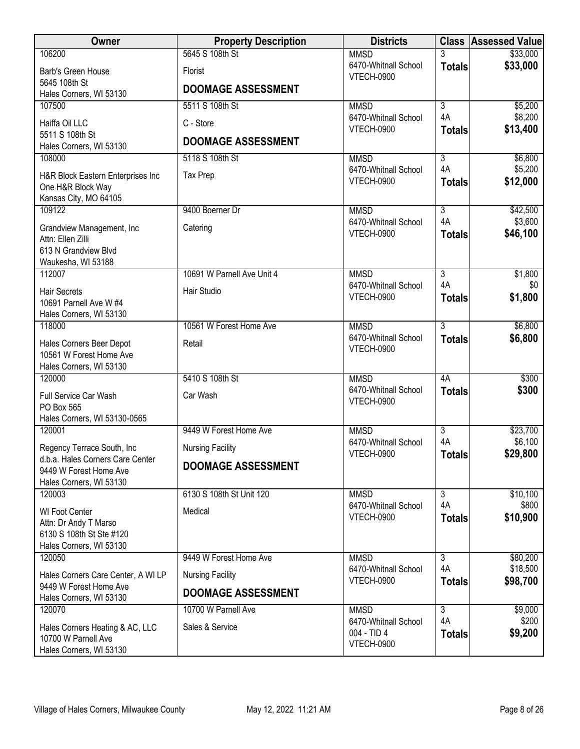| Owner                                                  | <b>Property Description</b> | <b>Districts</b>                          |                           | <b>Class Assessed Value</b> |
|--------------------------------------------------------|-----------------------------|-------------------------------------------|---------------------------|-----------------------------|
| 106200                                                 | 5645 S 108th St             | <b>MMSD</b>                               | 3                         | \$33,000                    |
| Barb's Green House<br>5645 108th St                    | <b>Florist</b>              | 6470-Whitnall School<br><b>VTECH-0900</b> | <b>Totals</b>             | \$33,000                    |
| Hales Corners, WI 53130                                | <b>DOOMAGE ASSESSMENT</b>   |                                           |                           |                             |
| 107500                                                 | 5511 S 108th St             | <b>MMSD</b>                               | $\overline{3}$            | \$5,200                     |
| Haiffa Oil LLC                                         | C - Store                   | 6470-Whitnall School<br><b>VTECH-0900</b> | 4A<br><b>Totals</b>       | \$8,200<br>\$13,400         |
| 5511 S 108th St<br>Hales Corners, WI 53130             | <b>DOOMAGE ASSESSMENT</b>   |                                           |                           |                             |
| 108000                                                 | 5118 S 108th St             | <b>MMSD</b>                               | $\overline{\overline{3}}$ | \$6,800                     |
| H&R Block Eastern Enterprises Inc<br>One H&R Block Way | Tax Prep                    | 6470-Whitnall School<br><b>VTECH-0900</b> | 4A<br><b>Totals</b>       | \$5,200<br>\$12,000         |
| Kansas City, MO 64105                                  |                             |                                           |                           |                             |
| 109122                                                 | 9400 Boerner Dr             | <b>MMSD</b>                               | $\overline{3}$            | \$42,500                    |
| Grandview Management, Inc<br>Attn: Ellen Zilli         | Catering                    | 6470-Whitnall School<br><b>VTECH-0900</b> | 4A<br><b>Totals</b>       | \$3,600<br>\$46,100         |
| 613 N Grandview Blvd                                   |                             |                                           |                           |                             |
| Waukesha, WI 53188                                     |                             |                                           |                           |                             |
| 112007                                                 | 10691 W Parnell Ave Unit 4  | <b>MMSD</b>                               | $\overline{3}$<br>4A      | \$1,800<br>\$0              |
| <b>Hair Secrets</b>                                    | Hair Studio                 | 6470-Whitnall School<br><b>VTECH-0900</b> | <b>Totals</b>             | \$1,800                     |
| 10691 Parnell Ave W #4                                 |                             |                                           |                           |                             |
| Hales Corners, WI 53130                                | 10561 W Forest Home Ave     |                                           | $\overline{3}$            |                             |
| 118000                                                 |                             | <b>MMSD</b><br>6470-Whitnall School       | <b>Totals</b>             | \$6,800<br>\$6,800          |
| Hales Corners Beer Depot                               | Retail                      | <b>VTECH-0900</b>                         |                           |                             |
| 10561 W Forest Home Ave                                |                             |                                           |                           |                             |
| Hales Corners, WI 53130<br>120000                      | 5410 S 108th St             | <b>MMSD</b>                               | 4A                        | \$300                       |
|                                                        |                             | 6470-Whitnall School                      | <b>Totals</b>             | \$300                       |
| Full Service Car Wash<br>PO Box 565                    | Car Wash                    | <b>VTECH-0900</b>                         |                           |                             |
| Hales Corners, WI 53130-0565                           |                             |                                           |                           |                             |
| 120001                                                 | 9449 W Forest Home Ave      | <b>MMSD</b>                               | $\overline{3}$            | \$23,700                    |
| Regency Terrace South, Inc                             | <b>Nursing Facility</b>     | 6470-Whitnall School                      | 4A                        | \$6,100                     |
| d.b.a. Hales Corners Care Center                       |                             | <b>VTECH-0900</b>                         | <b>Totals</b>             | \$29,800                    |
| 9449 W Forest Home Ave                                 | <b>DOOMAGE ASSESSMENT</b>   |                                           |                           |                             |
| Hales Corners, WI 53130                                |                             |                                           |                           |                             |
| 120003                                                 | 6130 S 108th St Unit 120    | <b>MMSD</b>                               | $\overline{3}$            | \$10,100                    |
| <b>WI Foot Center</b>                                  | Medical                     | 6470-Whitnall School<br><b>VTECH-0900</b> | 4A                        | \$800                       |
| Attn: Dr Andy T Marso                                  |                             |                                           | <b>Totals</b>             | \$10,900                    |
| 6130 S 108th St Ste #120                               |                             |                                           |                           |                             |
| Hales Corners, WI 53130<br>120050                      | 9449 W Forest Home Ave      | <b>MMSD</b>                               | $\overline{3}$            | \$80,200                    |
|                                                        |                             | 6470-Whitnall School                      | 4A                        | \$18,500                    |
| Hales Corners Care Center, A WI LP                     | <b>Nursing Facility</b>     | <b>VTECH-0900</b>                         | <b>Totals</b>             | \$98,700                    |
| 9449 W Forest Home Ave<br>Hales Corners, WI 53130      | <b>DOOMAGE ASSESSMENT</b>   |                                           |                           |                             |
| 120070                                                 | 10700 W Parnell Ave         | <b>MMSD</b>                               | $\overline{3}$            | \$9,000                     |
|                                                        |                             | 6470-Whitnall School                      | 4A                        | \$200                       |
| Hales Corners Heating & AC, LLC<br>10700 W Parnell Ave | Sales & Service             | 004 - TID 4                               | <b>Totals</b>             | \$9,200                     |
| Hales Corners, WI 53130                                |                             | <b>VTECH-0900</b>                         |                           |                             |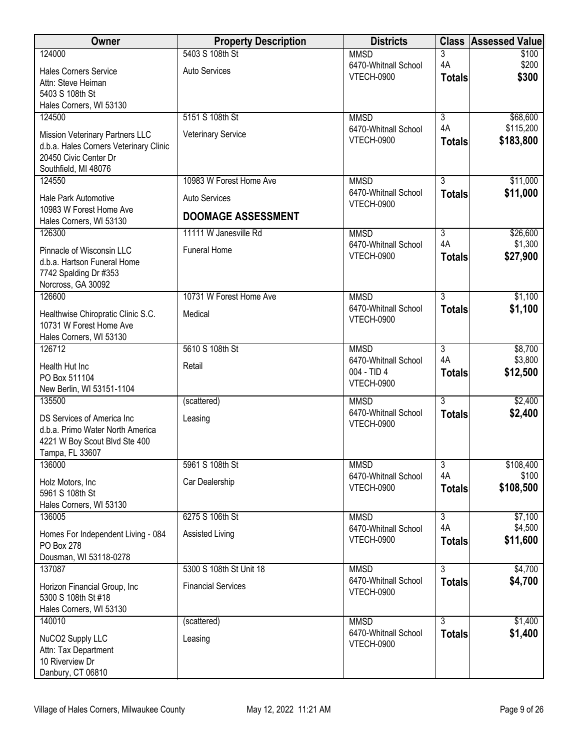| Owner                                                             | <b>Property Description</b> | <b>Districts</b>                          |                                 | <b>Class Assessed Value</b> |
|-------------------------------------------------------------------|-----------------------------|-------------------------------------------|---------------------------------|-----------------------------|
| 124000                                                            | 5403 S 108th St             | <b>MMSD</b><br>6470-Whitnall School       | 3<br>4A                         | \$100<br>\$200              |
| <b>Hales Corners Service</b>                                      | <b>Auto Services</b>        | <b>VTECH-0900</b>                         | <b>Totals</b>                   | \$300                       |
| Attn: Steve Heiman<br>5403 S 108th St                             |                             |                                           |                                 |                             |
| Hales Corners, WI 53130                                           |                             |                                           |                                 |                             |
| 124500                                                            | 5151 S 108th St             | <b>MMSD</b>                               | $\overline{3}$                  | \$68,600                    |
| Mission Veterinary Partners LLC                                   | Veterinary Service          | 6470-Whitnall School<br><b>VTECH-0900</b> | 4A                              | \$115,200<br>\$183,800      |
| d.b.a. Hales Corners Veterinary Clinic                            |                             |                                           | <b>Totals</b>                   |                             |
| 20450 Civic Center Dr<br>Southfield, MI 48076                     |                             |                                           |                                 |                             |
| 124550                                                            | 10983 W Forest Home Ave     | <b>MMSD</b>                               | $\overline{3}$                  | \$11,000                    |
| Hale Park Automotive                                              | <b>Auto Services</b>        | 6470-Whitnall School<br><b>VTECH-0900</b> | <b>Totals</b>                   | \$11,000                    |
| 10983 W Forest Home Ave<br>Hales Corners, WI 53130                | <b>DOOMAGE ASSESSMENT</b>   |                                           |                                 |                             |
| 126300                                                            | 11111 W Janesville Rd       | <b>MMSD</b>                               | $\overline{3}$                  | \$26,600                    |
| Pinnacle of Wisconsin LLC                                         | <b>Funeral Home</b>         | 6470-Whitnall School                      | 4A                              | \$1,300                     |
| d.b.a. Hartson Funeral Home                                       |                             | <b>VTECH-0900</b>                         | <b>Totals</b>                   | \$27,900                    |
| 7742 Spalding Dr #353<br>Norcross, GA 30092                       |                             |                                           |                                 |                             |
| 126600                                                            | 10731 W Forest Home Ave     | <b>MMSD</b>                               | $\overline{3}$                  | \$1,100                     |
| Healthwise Chiropratic Clinic S.C.                                | Medical                     | 6470-Whitnall School                      | <b>Totals</b>                   | \$1,100                     |
| 10731 W Forest Home Ave                                           |                             | <b>VTECH-0900</b>                         |                                 |                             |
| Hales Corners, WI 53130<br>126712                                 | 5610 S 108th St             | <b>MMSD</b>                               | $\overline{3}$                  | \$8,700                     |
|                                                                   |                             | 6470-Whitnall School                      | 4A                              | \$3,800                     |
| Health Hut Inc<br>PO Box 511104                                   | Retail                      | 004 - TID 4                               | <b>Totals</b>                   | \$12,500                    |
| New Berlin, WI 53151-1104                                         |                             | <b>VTECH-0900</b>                         |                                 |                             |
| 135500                                                            | (scattered)                 | <b>MMSD</b>                               | $\overline{3}$                  | \$2,400                     |
| DS Services of America Inc                                        | Leasing                     | 6470-Whitnall School<br><b>VTECH-0900</b> | <b>Totals</b>                   | \$2,400                     |
| d.b.a. Primo Water North America<br>4221 W Boy Scout Blvd Ste 400 |                             |                                           |                                 |                             |
| Tampa, FL 33607                                                   |                             |                                           |                                 |                             |
| 136000                                                            | 5961 S 108th St             | <b>MMSD</b>                               | 3                               | \$108,400                   |
| Holz Motors, Inc.                                                 | Car Dealership              | 6470-Whitnall School<br><b>VTECH-0900</b> | 4A<br><b>Totals</b>             | \$100<br>\$108,500          |
| 5961 S 108th St<br>Hales Corners, WI 53130                        |                             |                                           |                                 |                             |
| 136005                                                            | 6275 S 106th St             | <b>MMSD</b>                               | $\overline{3}$                  | \$7,100                     |
| Homes For Independent Living - 084                                | Assisted Living             | 6470-Whitnall School                      | 4A                              | \$4,500                     |
| <b>PO Box 278</b>                                                 |                             | <b>VTECH-0900</b>                         | <b>Totals</b>                   | \$11,600                    |
| Dousman, WI 53118-0278                                            |                             |                                           |                                 |                             |
| 137087                                                            | 5300 S 108th St Unit 18     | <b>MMSD</b><br>6470-Whitnall School       | $\overline{3}$<br><b>Totals</b> | \$4,700<br>\$4,700          |
| Horizon Financial Group, Inc.<br>5300 S 108th St #18              | <b>Financial Services</b>   | <b>VTECH-0900</b>                         |                                 |                             |
| Hales Corners, WI 53130                                           |                             |                                           |                                 |                             |
| 140010                                                            | (scattered)                 | <b>MMSD</b>                               | $\overline{3}$                  | \$1,400                     |
| NuCO2 Supply LLC                                                  | Leasing                     | 6470-Whitnall School<br><b>VTECH-0900</b> | <b>Totals</b>                   | \$1,400                     |
| Attn: Tax Department<br>10 Riverview Dr                           |                             |                                           |                                 |                             |
| Danbury, CT 06810                                                 |                             |                                           |                                 |                             |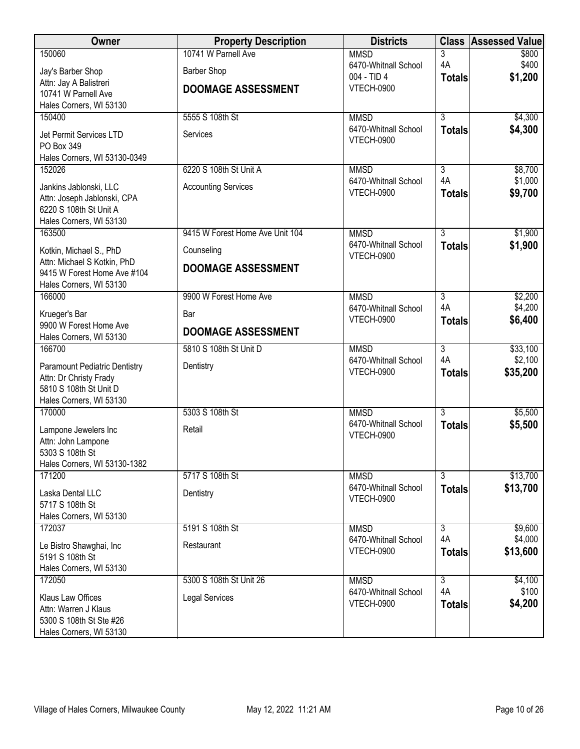| Owner                                                          | <b>Property Description</b>     | <b>Districts</b>                          | <b>Class</b>        | <b>Assessed Value</b> |
|----------------------------------------------------------------|---------------------------------|-------------------------------------------|---------------------|-----------------------|
| 150060                                                         | 10741 W Parnell Ave             | <b>MMSD</b>                               | 3                   | \$800                 |
| Jay's Barber Shop                                              | <b>Barber Shop</b>              | 6470-Whitnall School<br>004 - TID 4       | 4A                  | \$400<br>\$1,200      |
| Attn: Jay A Balistreri                                         | <b>DOOMAGE ASSESSMENT</b>       | VTECH-0900                                | <b>Totals</b>       |                       |
| 10741 W Parnell Ave<br>Hales Corners, WI 53130                 |                                 |                                           |                     |                       |
| 150400                                                         | 5555 S 108th St                 | <b>MMSD</b>                               | $\overline{3}$      | \$4,300               |
|                                                                |                                 | 6470-Whitnall School                      | <b>Totals</b>       | \$4,300               |
| Jet Permit Services LTD<br>PO Box 349                          | Services                        | <b>VTECH-0900</b>                         |                     |                       |
| Hales Corners, WI 53130-0349                                   |                                 |                                           |                     |                       |
| 152026                                                         | 6220 S 108th St Unit A          | <b>MMSD</b>                               | $\overline{3}$      | \$8,700               |
| Jankins Jablonski, LLC                                         | <b>Accounting Services</b>      | 6470-Whitnall School                      | 4A                  | \$1,000               |
| Attn: Joseph Jablonski, CPA                                    |                                 | <b>VTECH-0900</b>                         | <b>Totals</b>       | \$9,700               |
| 6220 S 108th St Unit A                                         |                                 |                                           |                     |                       |
| Hales Corners, WI 53130<br>163500                              | 9415 W Forest Home Ave Unit 104 | <b>MMSD</b>                               | $\overline{3}$      | \$1,900               |
|                                                                |                                 | 6470-Whitnall School                      | <b>Totals</b>       | \$1,900               |
| Kotkin, Michael S., PhD<br>Attn: Michael S Kotkin, PhD         | Counseling                      | <b>VTECH-0900</b>                         |                     |                       |
| 9415 W Forest Home Ave #104                                    | <b>DOOMAGE ASSESSMENT</b>       |                                           |                     |                       |
| Hales Corners, WI 53130                                        |                                 |                                           |                     |                       |
| 166000                                                         | 9900 W Forest Home Ave          | <b>MMSD</b>                               | $\overline{3}$      | \$2,200               |
| Krueger's Bar                                                  | Bar                             | 6470-Whitnall School<br><b>VTECH-0900</b> | 4A<br><b>Totals</b> | \$4,200<br>\$6,400    |
| 9900 W Forest Home Ave                                         | <b>DOOMAGE ASSESSMENT</b>       |                                           |                     |                       |
| Hales Corners, WI 53130<br>166700                              | 5810 S 108th St Unit D          | <b>MMSD</b>                               | $\overline{3}$      | \$33,100              |
|                                                                |                                 | 6470-Whitnall School                      | 4A                  | \$2,100               |
| <b>Paramount Pediatric Dentistry</b><br>Attn: Dr Christy Frady | Dentistry                       | <b>VTECH-0900</b>                         | <b>Totals</b>       | \$35,200              |
| 5810 S 108th St Unit D                                         |                                 |                                           |                     |                       |
| Hales Corners, WI 53130                                        |                                 |                                           |                     |                       |
| 170000                                                         | 5303 S 108th St                 | <b>MMSD</b>                               | $\overline{3}$      | \$5,500               |
| Lampone Jewelers Inc                                           | Retail                          | 6470-Whitnall School<br><b>VTECH-0900</b> | <b>Totals</b>       | \$5,500               |
| Attn: John Lampone                                             |                                 |                                           |                     |                       |
| 5303 S 108th St<br>Hales Corners, WI 53130-1382                |                                 |                                           |                     |                       |
| 171200                                                         | 5717 S 108th St                 | <b>MMSD</b>                               | $\overline{3}$      | \$13,700              |
| Laska Dental LLC                                               | Dentistry                       | 6470-Whitnall School                      | <b>Totals</b>       | \$13,700              |
| 5717 S 108th St                                                |                                 | <b>VTECH-0900</b>                         |                     |                       |
| Hales Corners, WI 53130                                        |                                 |                                           |                     |                       |
| 172037                                                         | 5191 S 108th St                 | <b>MMSD</b>                               | 3                   | \$9,600               |
| Le Bistro Shawghai, Inc                                        | Restaurant                      | 6470-Whitnall School<br><b>VTECH-0900</b> | 4A<br><b>Totals</b> | \$4,000<br>\$13,600   |
| 5191 S 108th St                                                |                                 |                                           |                     |                       |
| Hales Corners, WI 53130<br>172050                              | 5300 S 108th St Unit 26         | <b>MMSD</b>                               | $\overline{3}$      | \$4,100               |
|                                                                |                                 | 6470-Whitnall School                      | 4A                  | \$100                 |
| Klaus Law Offices<br>Attn: Warren J Klaus                      | <b>Legal Services</b>           | <b>VTECH-0900</b>                         | <b>Totals</b>       | \$4,200               |
| 5300 S 108th St Ste #26                                        |                                 |                                           |                     |                       |
| Hales Corners, WI 53130                                        |                                 |                                           |                     |                       |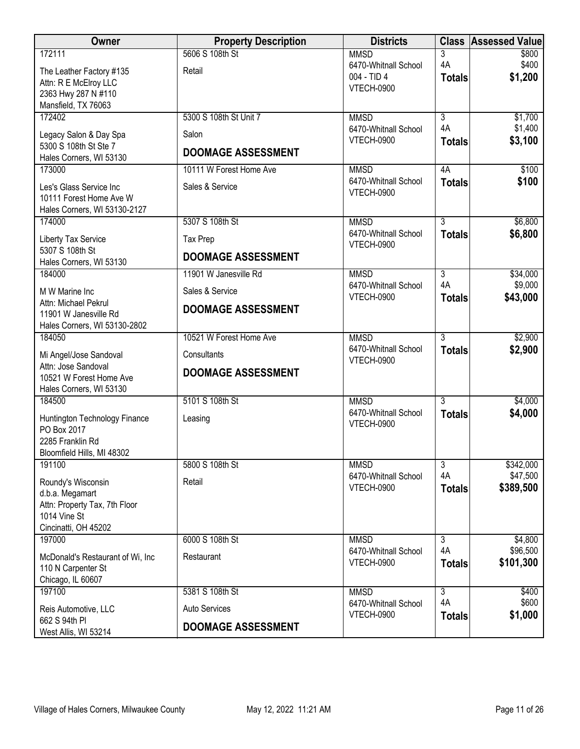| Owner                                                                                                          | <b>Property Description</b>     | <b>Districts</b>                          |                      | <b>Class Assessed Value</b> |
|----------------------------------------------------------------------------------------------------------------|---------------------------------|-------------------------------------------|----------------------|-----------------------------|
| 172111<br>The Leather Factory #135                                                                             | 5606 S 108th St<br>Retail       | <b>MMSD</b><br>6470-Whitnall School       | 3<br>4A              | \$800<br>\$400              |
| Attn: R E McElroy LLC<br>2363 Hwy 287 N #110                                                                   |                                 | 004 - TID 4<br><b>VTECH-0900</b>          | <b>Totals</b>        | \$1,200                     |
| Mansfield, TX 76063                                                                                            |                                 |                                           |                      |                             |
| 172402<br>Legacy Salon & Day Spa                                                                               | 5300 S 108th St Unit 7<br>Salon | <b>MMSD</b><br>6470-Whitnall School       | $\overline{3}$<br>4A | \$1,700<br>\$1,400          |
| 5300 S 108th St Ste 7<br>Hales Corners, WI 53130                                                               | <b>DOOMAGE ASSESSMENT</b>       | <b>VTECH-0900</b>                         | <b>Totals</b>        | \$3,100                     |
| 173000                                                                                                         | 10111 W Forest Home Ave         | <b>MMSD</b>                               | 4A                   | \$100                       |
| Les's Glass Service Inc<br>10111 Forest Home Ave W<br>Hales Corners, WI 53130-2127                             | Sales & Service                 | 6470-Whitnall School<br><b>VTECH-0900</b> | <b>Totals</b>        | \$100                       |
| 174000                                                                                                         | 5307 S 108th St                 | <b>MMSD</b>                               | $\overline{3}$       | \$6,800                     |
| Liberty Tax Service<br>5307 S 108th St                                                                         | Tax Prep                        | 6470-Whitnall School<br><b>VTECH-0900</b> | <b>Totals</b>        | \$6,800                     |
| Hales Corners, WI 53130                                                                                        | <b>DOOMAGE ASSESSMENT</b>       |                                           |                      |                             |
| 184000                                                                                                         | 11901 W Janesville Rd           | <b>MMSD</b><br>6470-Whitnall School       | $\overline{3}$<br>4A | \$34,000<br>\$9,000         |
| M W Marine Inc                                                                                                 | Sales & Service                 | <b>VTECH-0900</b>                         | <b>Totals</b>        | \$43,000                    |
| Attn: Michael Pekrul<br>11901 W Janesville Rd<br>Hales Corners, WI 53130-2802                                  | <b>DOOMAGE ASSESSMENT</b>       |                                           |                      |                             |
| 184050                                                                                                         | 10521 W Forest Home Ave         | <b>MMSD</b>                               | $\overline{3}$       | \$2,900                     |
| Mi Angel/Jose Sandoval<br>Attn: Jose Sandoval                                                                  | Consultants                     | 6470-Whitnall School<br><b>VTECH-0900</b> | <b>Totals</b>        | \$2,900                     |
| 10521 W Forest Home Ave<br>Hales Corners, WI 53130                                                             | <b>DOOMAGE ASSESSMENT</b>       |                                           |                      |                             |
| 184500                                                                                                         | 5101 S 108th St                 | <b>MMSD</b>                               | $\overline{3}$       | \$4,000                     |
| Huntington Technology Finance<br>PO Box 2017<br>2285 Franklin Rd<br>Bloomfield Hills, MI 48302                 | Leasing                         | 6470-Whitnall School<br><b>VTECH-0900</b> | <b>Totals</b>        | \$4,000                     |
| 191100                                                                                                         | 5800 S 108th St                 | <b>MMSD</b>                               | 3                    | \$342,000                   |
| Roundy's Wisconsin<br>d.b.a. Megamart<br>Attn: Property Tax, 7th Floor<br>1014 Vine St<br>Cincinatti, OH 45202 | Retail                          | 6470-Whitnall School<br><b>VTECH-0900</b> | 4A<br><b>Totals</b>  | \$47,500<br>\$389,500       |
| 197000                                                                                                         | 6000 S 108th St                 | <b>MMSD</b>                               | 3                    | \$4,800                     |
| McDonald's Restaurant of Wi, Inc.<br>110 N Carpenter St<br>Chicago, IL 60607                                   | Restaurant                      | 6470-Whitnall School<br><b>VTECH-0900</b> | 4A<br><b>Totals</b>  | \$96,500<br>\$101,300       |
| 197100                                                                                                         | 5381 S 108th St                 | <b>MMSD</b>                               | $\overline{3}$       | \$400                       |
| Reis Automotive, LLC<br>662 S 94th PI                                                                          | <b>Auto Services</b>            | 6470-Whitnall School<br><b>VTECH-0900</b> | 4A<br><b>Totals</b>  | \$600<br>\$1,000            |
| West Allis, WI 53214                                                                                           | <b>DOOMAGE ASSESSMENT</b>       |                                           |                      |                             |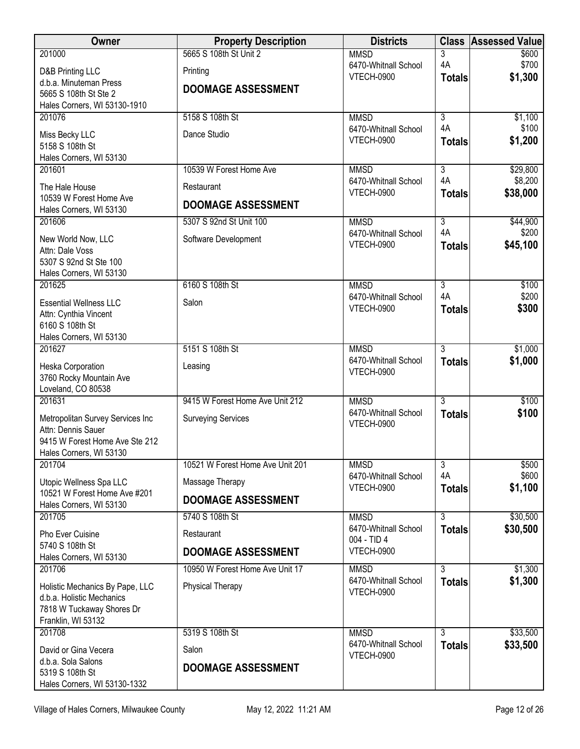| Owner                                                        | <b>Property Description</b>      | <b>Districts</b>                          |                     | <b>Class Assessed Value</b> |
|--------------------------------------------------------------|----------------------------------|-------------------------------------------|---------------------|-----------------------------|
| 201000                                                       | 5665 S 108th St Unit 2           | <b>MMSD</b>                               | 3                   | \$600                       |
| D&B Printing LLC                                             | Printing                         | 6470-Whitnall School<br><b>VTECH-0900</b> | 4A<br><b>Totals</b> | \$700<br>\$1,300            |
| d.b.a. Minuteman Press<br>5665 S 108th St Ste 2              | <b>DOOMAGE ASSESSMENT</b>        |                                           |                     |                             |
| Hales Corners, WI 53130-1910                                 |                                  |                                           |                     |                             |
| 201076                                                       | 5158 S 108th St                  | <b>MMSD</b>                               | $\overline{3}$      | \$1,100                     |
| Miss Becky LLC                                               | Dance Studio                     | 6470-Whitnall School                      | 4A                  | \$100                       |
| 5158 S 108th St                                              |                                  | <b>VTECH-0900</b>                         | <b>Totals</b>       | \$1,200                     |
| Hales Corners, WI 53130                                      |                                  |                                           |                     |                             |
| 201601                                                       | 10539 W Forest Home Ave          | <b>MMSD</b><br>6470-Whitnall School       | 3<br>4A             | \$29,800<br>\$8,200         |
| The Hale House<br>10539 W Forest Home Ave                    | Restaurant                       | <b>VTECH-0900</b>                         | <b>Totals</b>       | \$38,000                    |
| Hales Corners, WI 53130                                      | <b>DOOMAGE ASSESSMENT</b>        |                                           |                     |                             |
| 201606                                                       | 5307 S 92nd St Unit 100          | <b>MMSD</b>                               | $\overline{3}$      | \$44,900                    |
| New World Now, LLC                                           | Software Development             | 6470-Whitnall School                      | 4A                  | \$200                       |
| Attn: Dale Voss                                              |                                  | VTECH-0900                                | <b>Totals</b>       | \$45,100                    |
| 5307 S 92nd St Ste 100                                       |                                  |                                           |                     |                             |
| Hales Corners, WI 53130<br>201625                            | 6160 S 108th St                  | <b>MMSD</b>                               | $\overline{3}$      | \$100                       |
|                                                              |                                  | 6470-Whitnall School                      | 4A                  | \$200                       |
| <b>Essential Wellness LLC</b><br>Attn: Cynthia Vincent       | Salon                            | <b>VTECH-0900</b>                         | <b>Totals</b>       | \$300                       |
| 6160 S 108th St                                              |                                  |                                           |                     |                             |
| Hales Corners, WI 53130                                      |                                  |                                           |                     |                             |
| 201627                                                       | 5151 S 108th St                  | <b>MMSD</b><br>6470-Whitnall School       | $\overline{3}$      | \$1,000                     |
| Heska Corporation                                            | Leasing                          | <b>VTECH-0900</b>                         | <b>Totals</b>       | \$1,000                     |
| 3760 Rocky Mountain Ave<br>Loveland, CO 80538                |                                  |                                           |                     |                             |
| 201631                                                       | 9415 W Forest Home Ave Unit 212  | <b>MMSD</b>                               | $\overline{3}$      | \$100                       |
| Metropolitan Survey Services Inc                             | <b>Surveying Services</b>        | 6470-Whitnall School                      | <b>Totals</b>       | \$100                       |
| Attn: Dennis Sauer                                           |                                  | <b>VTECH-0900</b>                         |                     |                             |
| 9415 W Forest Home Ave Ste 212                               |                                  |                                           |                     |                             |
| Hales Corners, WI 53130<br>201704                            | 10521 W Forest Home Ave Unit 201 |                                           | $\overline{3}$      |                             |
|                                                              |                                  | <b>MMSD</b><br>6470-Whitnall School       | 4A                  | \$500<br>\$600              |
| Utopic Wellness Spa LLC<br>10521 W Forest Home Ave #201      | Massage Therapy                  | <b>VTECH-0900</b>                         | <b>Totals</b>       | \$1,100                     |
| Hales Corners, WI 53130                                      | <b>DOOMAGE ASSESSMENT</b>        |                                           |                     |                             |
| 201705                                                       | 5740 S 108th St                  | <b>MMSD</b>                               | $\overline{3}$      | \$30,500                    |
| Pho Ever Cuisine                                             | Restaurant                       | 6470-Whitnall School<br>004 - TID 4       | <b>Totals</b>       | \$30,500                    |
| 5740 S 108th St                                              | <b>DOOMAGE ASSESSMENT</b>        | <b>VTECH-0900</b>                         |                     |                             |
| Hales Corners, WI 53130<br>201706                            | 10950 W Forest Home Ave Unit 17  | <b>MMSD</b>                               | $\overline{3}$      | \$1,300                     |
|                                                              |                                  | 6470-Whitnall School                      | <b>Totals</b>       | \$1,300                     |
| Holistic Mechanics By Pape, LLC<br>d.b.a. Holistic Mechanics | Physical Therapy                 | <b>VTECH-0900</b>                         |                     |                             |
| 7818 W Tuckaway Shores Dr                                    |                                  |                                           |                     |                             |
| Franklin, WI 53132                                           |                                  |                                           |                     |                             |
| 201708                                                       | 5319 S 108th St                  | <b>MMSD</b><br>6470-Whitnall School       | $\overline{3}$      | \$33,500                    |
| David or Gina Vecera                                         | Salon                            | <b>VTECH-0900</b>                         | <b>Totals</b>       | \$33,500                    |
| d.b.a. Sola Salons<br>5319 S 108th St                        | <b>DOOMAGE ASSESSMENT</b>        |                                           |                     |                             |
| Hales Corners, WI 53130-1332                                 |                                  |                                           |                     |                             |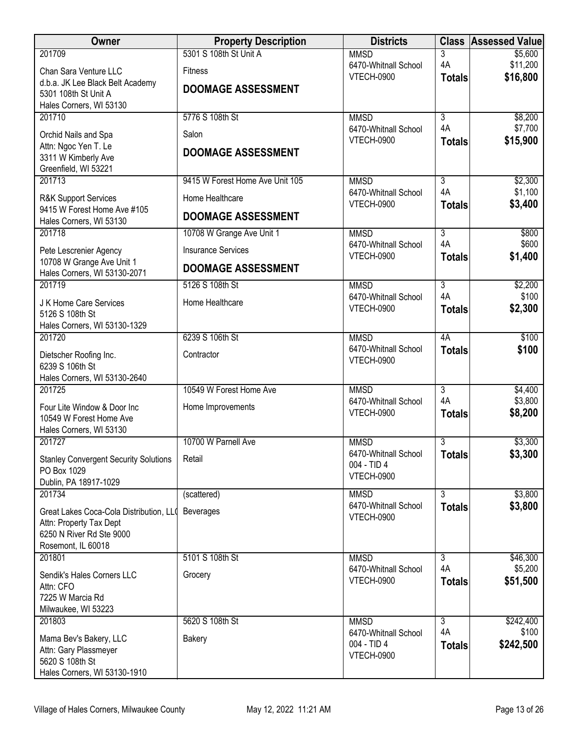| <b>Owner</b>                                              | <b>Property Description</b>     | <b>Districts</b>                          |                      | <b>Class Assessed Value</b> |
|-----------------------------------------------------------|---------------------------------|-------------------------------------------|----------------------|-----------------------------|
| 201709                                                    | 5301 S 108th St Unit A          | <b>MMSD</b>                               | 3                    | \$5,600                     |
| Chan Sara Venture LLC                                     | <b>Fitness</b>                  | 6470-Whitnall School<br><b>VTECH-0900</b> | 4A<br><b>Totals</b>  | \$11,200<br>\$16,800        |
| d.b.a. JK Lee Black Belt Academy<br>5301 108th St Unit A  | <b>DOOMAGE ASSESSMENT</b>       |                                           |                      |                             |
| Hales Corners, WI 53130                                   |                                 |                                           |                      |                             |
| 201710                                                    | 5776 S 108th St                 | <b>MMSD</b>                               | $\overline{3}$       | \$8,200                     |
| Orchid Nails and Spa                                      | Salon                           | 6470-Whitnall School                      | 4A                   | \$7,700                     |
| Attn: Ngoc Yen T. Le                                      | <b>DOOMAGE ASSESSMENT</b>       | VTECH-0900                                | <b>Totals</b>        | \$15,900                    |
| 3311 W Kimberly Ave<br>Greenfield, WI 53221               |                                 |                                           |                      |                             |
| 201713                                                    | 9415 W Forest Home Ave Unit 105 | <b>MMSD</b>                               | $\overline{3}$       | \$2,300                     |
| <b>R&amp;K Support Services</b>                           | Home Healthcare                 | 6470-Whitnall School                      | 4A                   | \$1,100                     |
| 9415 W Forest Home Ave #105                               |                                 | VTECH-0900                                | <b>Totals</b>        | \$3,400                     |
| Hales Corners, WI 53130                                   | <b>DOOMAGE ASSESSMENT</b>       |                                           |                      |                             |
| 201718                                                    | 10708 W Grange Ave Unit 1       | <b>MMSD</b><br>6470-Whitnall School       | $\overline{3}$<br>4A | \$800<br>\$600              |
| Pete Lescrenier Agency                                    | <b>Insurance Services</b>       | <b>VTECH-0900</b>                         | <b>Totals</b>        | \$1,400                     |
| 10708 W Grange Ave Unit 1<br>Hales Corners, WI 53130-2071 | <b>DOOMAGE ASSESSMENT</b>       |                                           |                      |                             |
| 201719                                                    | 5126 S 108th St                 | <b>MMSD</b>                               | $\overline{3}$       | \$2,200                     |
| J K Home Care Services                                    | Home Healthcare                 | 6470-Whitnall School                      | 4A                   | \$100                       |
| 5126 S 108th St                                           |                                 | <b>VTECH-0900</b>                         | <b>Totals</b>        | \$2,300                     |
| Hales Corners, WI 53130-1329                              |                                 |                                           |                      |                             |
| 201720                                                    | 6239 S 106th St                 | <b>MMSD</b><br>6470-Whitnall School       | 4A<br><b>Totals</b>  | \$100<br>\$100              |
| Dietscher Roofing Inc.                                    | Contractor                      | VTECH-0900                                |                      |                             |
| 6239 S 106th St<br>Hales Corners, WI 53130-2640           |                                 |                                           |                      |                             |
| 201725                                                    | 10549 W Forest Home Ave         | <b>MMSD</b>                               | $\overline{3}$       | \$4,400                     |
| Four Lite Window & Door Inc                               | Home Improvements               | 6470-Whitnall School                      | 4A                   | \$3,800                     |
| 10549 W Forest Home Ave                                   |                                 | <b>VTECH-0900</b>                         | <b>Totals</b>        | \$8,200                     |
| Hales Corners, WI 53130                                   |                                 |                                           |                      |                             |
| 201727                                                    | 10700 W Parnell Ave             | <b>MMSD</b><br>6470-Whitnall School       | 3                    | \$3,300<br>\$3,300          |
| <b>Stanley Convergent Security Solutions</b>              | Retail                          | 004 - TID 4                               | <b>Totals</b>        |                             |
| PO Box 1029<br>Dublin, PA 18917-1029                      |                                 | VTECH-0900                                |                      |                             |
| 201734                                                    | (scattered)                     | <b>MMSD</b>                               | $\overline{3}$       | \$3,800                     |
| Great Lakes Coca-Cola Distribution, LLO                   | Beverages                       | 6470-Whitnall School                      | <b>Totals</b>        | \$3,800                     |
| Attn: Property Tax Dept                                   |                                 | VTECH-0900                                |                      |                             |
| 6250 N River Rd Ste 9000<br>Rosemont, IL 60018            |                                 |                                           |                      |                             |
| 201801                                                    | 5101 S 108th St                 | <b>MMSD</b>                               | $\overline{3}$       | \$46,300                    |
| Sendik's Hales Corners LLC                                | Grocery                         | 6470-Whitnall School                      | 4A                   | \$5,200                     |
| Attn: CFO                                                 |                                 | <b>VTECH-0900</b>                         | <b>Totals</b>        | \$51,500                    |
| 7225 W Marcia Rd                                          |                                 |                                           |                      |                             |
| Milwaukee, WI 53223<br>201803                             | 5620 S 108th St                 | <b>MMSD</b>                               | $\overline{3}$       | \$242,400                   |
|                                                           |                                 | 6470-Whitnall School                      | 4A                   | \$100                       |
| Mama Bev's Bakery, LLC<br>Attn: Gary Plassmeyer           | Bakery                          | 004 - TID 4                               | <b>Totals</b>        | \$242,500                   |
| 5620 S 108th St                                           |                                 | VTECH-0900                                |                      |                             |
| Hales Corners, WI 53130-1910                              |                                 |                                           |                      |                             |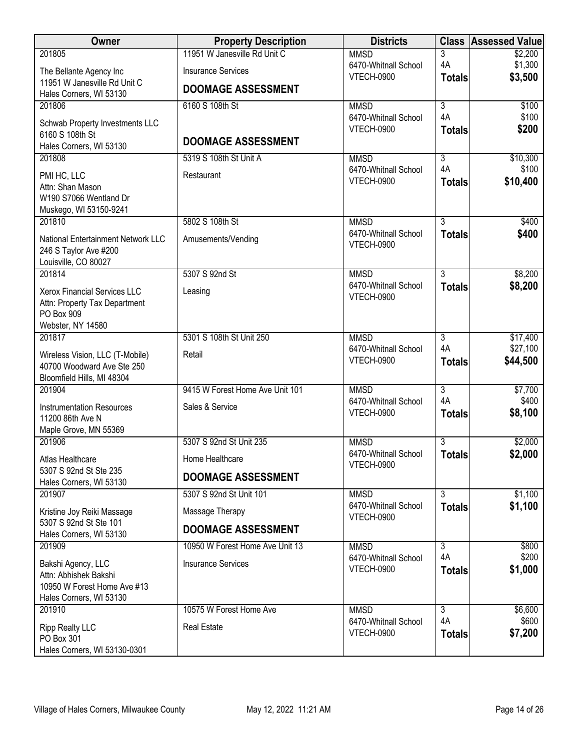| Owner                                                         | <b>Property Description</b>     | <b>Districts</b>                          | <b>Class</b>         | <b>Assessed Value</b> |
|---------------------------------------------------------------|---------------------------------|-------------------------------------------|----------------------|-----------------------|
| 201805                                                        | 11951 W Janesville Rd Unit C    | <b>MMSD</b>                               | 3                    | \$2,200               |
| The Bellante Agency Inc                                       | <b>Insurance Services</b>       | 6470-Whitnall School<br><b>VTECH-0900</b> | 4A                   | \$1,300<br>\$3,500    |
| 11951 W Janesville Rd Unit C                                  | <b>DOOMAGE ASSESSMENT</b>       |                                           | <b>Totals</b>        |                       |
| Hales Corners, WI 53130                                       |                                 |                                           |                      |                       |
| 201806                                                        | 6160 S 108th St                 | <b>MMSD</b><br>6470-Whitnall School       | $\overline{3}$<br>4A | \$100<br>\$100        |
| Schwab Property Investments LLC                               |                                 | <b>VTECH-0900</b>                         | <b>Totals</b>        | \$200                 |
| 6160 S 108th St                                               | <b>DOOMAGE ASSESSMENT</b>       |                                           |                      |                       |
| Hales Corners, WI 53130<br>201808                             |                                 |                                           |                      |                       |
|                                                               | 5319 S 108th St Unit A          | <b>MMSD</b><br>6470-Whitnall School       | 3<br>4A              | \$10,300<br>\$100     |
| PMI HC, LLC                                                   | Restaurant                      | <b>VTECH-0900</b>                         | <b>Totals</b>        | \$10,400              |
| Attn: Shan Mason                                              |                                 |                                           |                      |                       |
| W190 S7066 Wentland Dr<br>Muskego, WI 53150-9241              |                                 |                                           |                      |                       |
| 201810                                                        | 5802 S 108th St                 | <b>MMSD</b>                               | $\overline{3}$       | \$400                 |
|                                                               |                                 | 6470-Whitnall School                      | <b>Totals</b>        | \$400                 |
| National Entertainment Network LLC                            | Amusements/Vending              | <b>VTECH-0900</b>                         |                      |                       |
| 246 S Taylor Ave #200<br>Louisville, CO 80027                 |                                 |                                           |                      |                       |
| 201814                                                        | 5307 S 92nd St                  | <b>MMSD</b>                               | $\overline{3}$       | \$8,200               |
|                                                               |                                 | 6470-Whitnall School                      | <b>Totals</b>        | \$8,200               |
| Xerox Financial Services LLC<br>Attn: Property Tax Department | Leasing                         | <b>VTECH-0900</b>                         |                      |                       |
| PO Box 909                                                    |                                 |                                           |                      |                       |
| Webster, NY 14580                                             |                                 |                                           |                      |                       |
| 201817                                                        | 5301 S 108th St Unit 250        | <b>MMSD</b>                               | $\overline{3}$       | \$17,400              |
| Wireless Vision, LLC (T-Mobile)                               | Retail                          | 6470-Whitnall School                      | 4A                   | \$27,100              |
| 40700 Woodward Ave Ste 250                                    |                                 | <b>VTECH-0900</b>                         | <b>Totals</b>        | \$44,500              |
| Bloomfield Hills, MI 48304                                    |                                 |                                           |                      |                       |
| 201904                                                        | 9415 W Forest Home Ave Unit 101 | <b>MMSD</b>                               | $\overline{3}$       | \$7,700               |
| <b>Instrumentation Resources</b>                              | Sales & Service                 | 6470-Whitnall School                      | 4A                   | \$400                 |
| 11200 86th Ave N                                              |                                 | <b>VTECH-0900</b>                         | <b>Totals</b>        | \$8,100               |
| Maple Grove, MN 55369                                         |                                 |                                           |                      |                       |
| 201906                                                        | 5307 S 92nd St Unit 235         | <b>MMSD</b>                               | 3                    | \$2,000               |
| Atlas Healthcare                                              | Home Healthcare                 | 6470-Whitnall School<br>VTECH-0900        | <b>Totals</b>        | \$2,000               |
| 5307 S 92nd St Ste 235                                        | <b>DOOMAGE ASSESSMENT</b>       |                                           |                      |                       |
| Hales Corners, WI 53130<br>201907                             | 5307 S 92nd St Unit 101         | <b>MMSD</b>                               | $\overline{3}$       | \$1,100               |
|                                                               |                                 | 6470-Whitnall School                      | <b>Totals</b>        | \$1,100               |
| Kristine Joy Reiki Massage<br>5307 S 92nd St Ste 101          | Massage Therapy                 | <b>VTECH-0900</b>                         |                      |                       |
| Hales Corners, WI 53130                                       | <b>DOOMAGE ASSESSMENT</b>       |                                           |                      |                       |
| 201909                                                        | 10950 W Forest Home Ave Unit 13 | <b>MMSD</b>                               | $\overline{3}$       | \$800                 |
| Bakshi Agency, LLC                                            | <b>Insurance Services</b>       | 6470-Whitnall School                      | 4A                   | \$200                 |
| Attn: Abhishek Bakshi                                         |                                 | <b>VTECH-0900</b>                         | <b>Totals</b>        | \$1,000               |
| 10950 W Forest Home Ave #13                                   |                                 |                                           |                      |                       |
| Hales Corners, WI 53130                                       |                                 |                                           |                      |                       |
| 201910                                                        | 10575 W Forest Home Ave         | <b>MMSD</b>                               | $\overline{3}$       | \$6,600               |
| <b>Ripp Realty LLC</b>                                        | <b>Real Estate</b>              | 6470-Whitnall School                      | 4A                   | \$600                 |
| PO Box 301                                                    |                                 | <b>VTECH-0900</b>                         | <b>Totals</b>        | \$7,200               |
| Hales Corners, WI 53130-0301                                  |                                 |                                           |                      |                       |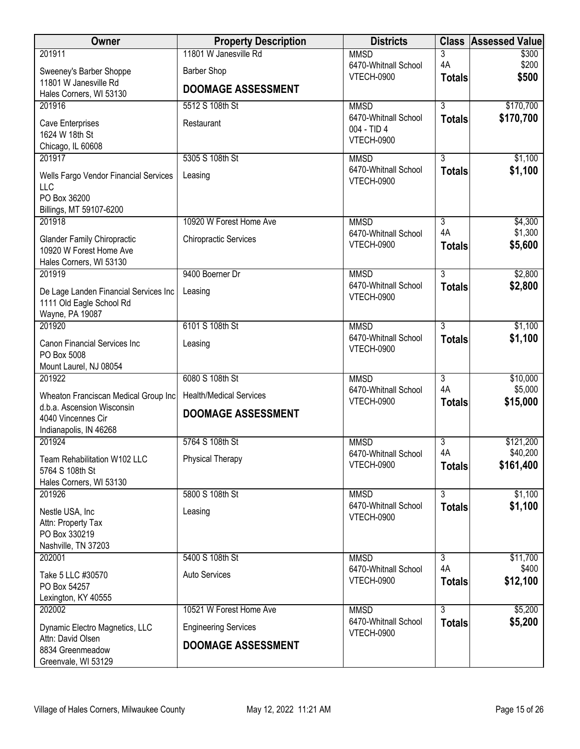| Owner                                                                                    | <b>Property Description</b>    | <b>Districts</b>                          | <b>Class</b>                    | <b>Assessed Value</b> |
|------------------------------------------------------------------------------------------|--------------------------------|-------------------------------------------|---------------------------------|-----------------------|
| 201911                                                                                   | 11801 W Janesville Rd          | <b>MMSD</b>                               | 3                               | \$300                 |
| Sweeney's Barber Shoppe                                                                  | <b>Barber Shop</b>             | 6470-Whitnall School<br><b>VTECH-0900</b> | 4A<br><b>Totals</b>             | \$200<br>\$500        |
| 11801 W Janesville Rd                                                                    | <b>DOOMAGE ASSESSMENT</b>      |                                           |                                 |                       |
| Hales Corners, WI 53130<br>201916                                                        | 5512 S 108th St                | <b>MMSD</b>                               | $\overline{3}$                  | \$170,700             |
|                                                                                          |                                | 6470-Whitnall School                      | <b>Totals</b>                   | \$170,700             |
| Cave Enterprises<br>1624 W 18th St                                                       | Restaurant                     | 004 - TID 4                               |                                 |                       |
| Chicago, IL 60608                                                                        |                                | VTECH-0900                                |                                 |                       |
| 201917                                                                                   | 5305 S 108th St                | <b>MMSD</b>                               | $\overline{3}$                  | \$1,100               |
| Wells Fargo Vendor Financial Services<br>LLC                                             | Leasing                        | 6470-Whitnall School<br><b>VTECH-0900</b> | <b>Totals</b>                   | \$1,100               |
| PO Box 36200                                                                             |                                |                                           |                                 |                       |
| Billings, MT 59107-6200                                                                  |                                |                                           |                                 |                       |
| 201918                                                                                   | 10920 W Forest Home Ave        | <b>MMSD</b><br>6470-Whitnall School       | $\overline{3}$<br>4A            | \$4,300<br>\$1,300    |
| <b>Glander Family Chiropractic</b><br>10920 W Forest Home Ave<br>Hales Corners, WI 53130 | <b>Chiropractic Services</b>   | <b>VTECH-0900</b>                         | <b>Totals</b>                   | \$5,600               |
| 201919                                                                                   | 9400 Boerner Dr                | <b>MMSD</b>                               | $\overline{3}$                  | \$2,800               |
| De Lage Landen Financial Services Inc<br>1111 Old Eagle School Rd<br>Wayne, PA 19087     | Leasing                        | 6470-Whitnall School<br>VTECH-0900        | <b>Totals</b>                   | \$2,800               |
| 201920                                                                                   | 6101 S 108th St                | <b>MMSD</b>                               | $\overline{3}$                  | \$1,100               |
| Canon Financial Services Inc<br>PO Box 5008<br>Mount Laurel, NJ 08054                    | Leasing                        | 6470-Whitnall School<br><b>VTECH-0900</b> | <b>Totals</b>                   | \$1,100               |
| 201922                                                                                   | 6080 S 108th St                | <b>MMSD</b>                               | $\overline{3}$                  | \$10,000              |
| Wheaton Franciscan Medical Group Inc                                                     | <b>Health/Medical Services</b> | 6470-Whitnall School<br><b>VTECH-0900</b> | 4A                              | \$5,000<br>\$15,000   |
| d.b.a. Ascension Wisconsin<br>4040 Vincennes Cir<br>Indianapolis, IN 46268               | <b>DOOMAGE ASSESSMENT</b>      |                                           | <b>Totals</b>                   |                       |
| 201924                                                                                   | 5764 S 108th St                | <b>MMSD</b>                               | 3                               | \$121,200             |
| Team Rehabilitation W102 LLC<br>5764 S 108th St<br>Hales Corners, WI 53130               | <b>Physical Therapy</b>        | 6470-Whitnall School<br><b>VTECH-0900</b> | 4A<br><b>Totals</b>             | \$40,200<br>\$161,400 |
| 201926                                                                                   | 5800 S 108th St                | <b>MMSD</b>                               | $\overline{3}$                  | \$1,100               |
| Nestle USA, Inc<br>Attn: Property Tax<br>PO Box 330219<br>Nashville, TN 37203            | Leasing                        | 6470-Whitnall School<br><b>VTECH-0900</b> | <b>Totals</b>                   | \$1,100               |
| 202001                                                                                   | 5400 S 108th St                | <b>MMSD</b>                               | $\overline{3}$                  | \$11,700              |
| Take 5 LLC #30570<br>PO Box 54257                                                        | Auto Services                  | 6470-Whitnall School<br><b>VTECH-0900</b> | 4A<br><b>Totals</b>             | \$400<br>\$12,100     |
| Lexington, KY 40555                                                                      |                                |                                           |                                 |                       |
| 202002                                                                                   | 10521 W Forest Home Ave        | <b>MMSD</b><br>6470-Whitnall School       | $\overline{3}$<br><b>Totals</b> | \$5,200<br>\$5,200    |
| Dynamic Electro Magnetics, LLC                                                           | <b>Engineering Services</b>    | <b>VTECH-0900</b>                         |                                 |                       |
| Attn: David Olsen<br>8834 Greenmeadow<br>Greenvale, WI 53129                             | <b>DOOMAGE ASSESSMENT</b>      |                                           |                                 |                       |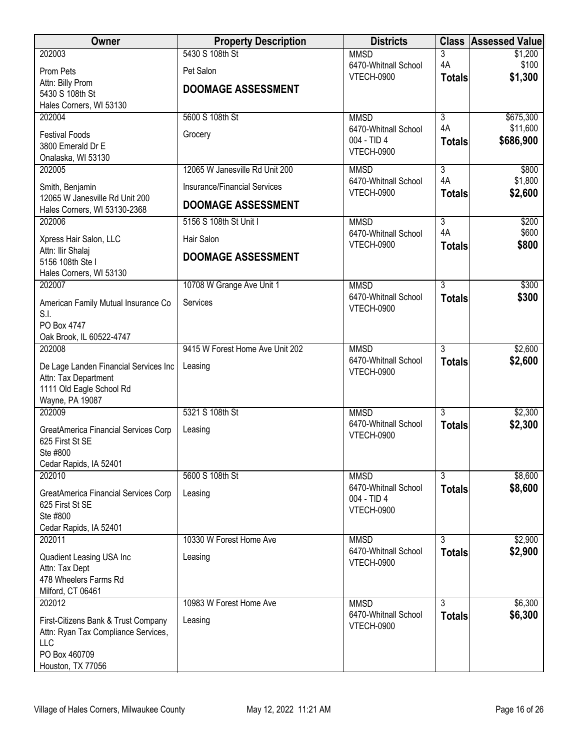| <b>Owner</b>                                                               | <b>Property Description</b>     | <b>Districts</b>                          |                     | <b>Class Assessed Value</b> |
|----------------------------------------------------------------------------|---------------------------------|-------------------------------------------|---------------------|-----------------------------|
| 202003                                                                     | 5430 S 108th St                 | <b>MMSD</b>                               | 3                   | \$1,200                     |
| Prom Pets                                                                  | Pet Salon                       | 6470-Whitnall School<br>VTECH-0900        | 4A<br><b>Totals</b> | \$100<br>\$1,300            |
| Attn: Billy Prom<br>5430 S 108th St                                        | <b>DOOMAGE ASSESSMENT</b>       |                                           |                     |                             |
| Hales Corners, WI 53130                                                    |                                 |                                           |                     |                             |
| 202004                                                                     | 5600 S 108th St                 | <b>MMSD</b>                               | $\overline{3}$      | \$675,300                   |
| <b>Festival Foods</b>                                                      | Grocery                         | 6470-Whitnall School<br>004 - TID 4       | 4A                  | \$11,600                    |
| 3800 Emerald Dr E                                                          |                                 | VTECH-0900                                | <b>Totals</b>       | \$686,900                   |
| Onalaska, WI 53130<br>202005                                               | 12065 W Janesville Rd Unit 200  | <b>MMSD</b>                               | $\overline{3}$      | \$800                       |
|                                                                            | Insurance/Financial Services    | 6470-Whitnall School                      | 4A                  | \$1,800                     |
| Smith, Benjamin<br>12065 W Janesville Rd Unit 200                          |                                 | VTECH-0900                                | <b>Totals</b>       | \$2,600                     |
| Hales Corners, WI 53130-2368                                               | <b>DOOMAGE ASSESSMENT</b>       |                                           |                     |                             |
| 202006                                                                     | 5156 S 108th St Unit I          | <b>MMSD</b>                               | $\overline{3}$      | \$200                       |
| Xpress Hair Salon, LLC                                                     | Hair Salon                      | 6470-Whitnall School<br><b>VTECH-0900</b> | 4A<br><b>Totals</b> | \$600<br>\$800              |
| Attn: Ilir Shalaj<br>5156 108th Ste I                                      | <b>DOOMAGE ASSESSMENT</b>       |                                           |                     |                             |
| Hales Corners, WI 53130                                                    |                                 |                                           |                     |                             |
| 202007                                                                     | 10708 W Grange Ave Unit 1       | <b>MMSD</b>                               | $\overline{3}$      | \$300                       |
| American Family Mutual Insurance Co                                        | Services                        | 6470-Whitnall School<br><b>VTECH-0900</b> | <b>Totals</b>       | \$300                       |
| S.I.                                                                       |                                 |                                           |                     |                             |
| PO Box 4747<br>Oak Brook, IL 60522-4747                                    |                                 |                                           |                     |                             |
| 202008                                                                     | 9415 W Forest Home Ave Unit 202 | <b>MMSD</b>                               | $\overline{3}$      | \$2,600                     |
| De Lage Landen Financial Services Inc                                      | Leasing                         | 6470-Whitnall School                      | <b>Totals</b>       | \$2,600                     |
| Attn: Tax Department                                                       |                                 | VTECH-0900                                |                     |                             |
| 1111 Old Eagle School Rd<br>Wayne, PA 19087                                |                                 |                                           |                     |                             |
| 202009                                                                     | 5321 S 108th St                 | <b>MMSD</b>                               | $\overline{3}$      | \$2,300                     |
| GreatAmerica Financial Services Corp                                       | Leasing                         | 6470-Whitnall School                      | <b>Totals</b>       | \$2,300                     |
| 625 First St SE                                                            |                                 | <b>VTECH-0900</b>                         |                     |                             |
| Ste #800                                                                   |                                 |                                           |                     |                             |
| Cedar Rapids, IA 52401<br>202010                                           | 5600 S 108th St                 | <b>MMSD</b>                               | $\overline{3}$      | \$8,600                     |
| GreatAmerica Financial Services Corp                                       | Leasing                         | 6470-Whitnall School                      | <b>Totals</b>       | \$8,600                     |
| 625 First St SE                                                            |                                 | 004 - TID 4<br>VTECH-0900                 |                     |                             |
| Ste #800                                                                   |                                 |                                           |                     |                             |
| Cedar Rapids, IA 52401<br>202011                                           | 10330 W Forest Home Ave         | <b>MMSD</b>                               | $\overline{3}$      | \$2,900                     |
|                                                                            |                                 | 6470-Whitnall School                      | <b>Totals</b>       | \$2,900                     |
| Quadient Leasing USA Inc<br>Attn: Tax Dept                                 | Leasing                         | VTECH-0900                                |                     |                             |
| 478 Wheelers Farms Rd                                                      |                                 |                                           |                     |                             |
| Milford, CT 06461                                                          |                                 |                                           | $\overline{3}$      |                             |
| 202012                                                                     | 10983 W Forest Home Ave         | <b>MMSD</b><br>6470-Whitnall School       | <b>Totals</b>       | \$6,300<br>\$6,300          |
| First-Citizens Bank & Trust Company<br>Attn: Ryan Tax Compliance Services, | Leasing                         | <b>VTECH-0900</b>                         |                     |                             |
| LLC                                                                        |                                 |                                           |                     |                             |
| PO Box 460709                                                              |                                 |                                           |                     |                             |
| Houston, TX 77056                                                          |                                 |                                           |                     |                             |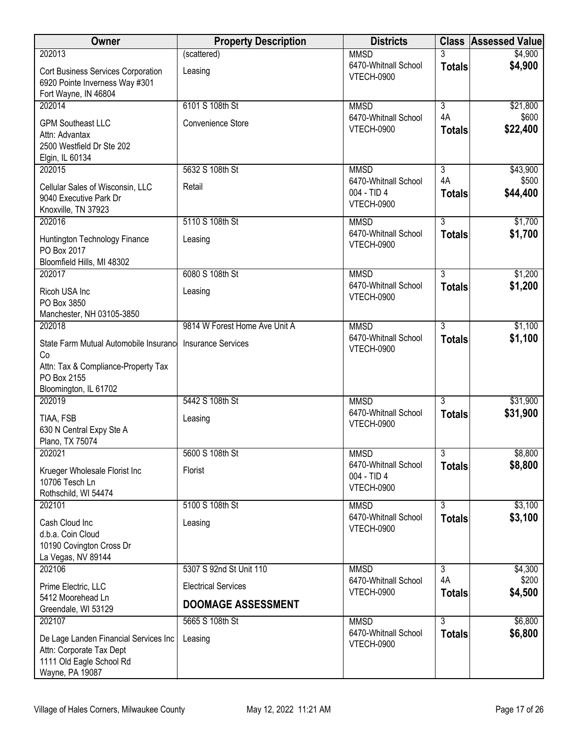| Owner                                                                                                            | <b>Property Description</b>   | <b>Districts</b>                                         | <b>Class</b>        | <b>Assessed Value</b> |
|------------------------------------------------------------------------------------------------------------------|-------------------------------|----------------------------------------------------------|---------------------|-----------------------|
| 202013                                                                                                           | (scattered)                   | <b>MMSD</b>                                              | 3                   | \$4,900               |
| Cort Business Services Corporation<br>6920 Pointe Inverness Way #301<br>Fort Wayne, IN 46804                     | Leasing                       | 6470-Whitnall School<br><b>VTECH-0900</b>                | <b>Totals</b>       | \$4,900               |
| 202014                                                                                                           | 6101 S 108th St               | <b>MMSD</b>                                              | 3                   | \$21,800              |
| <b>GPM Southeast LLC</b><br>Attn: Advantax<br>2500 Westfield Dr Ste 202<br>Elgin, IL 60134                       | Convenience Store             | 6470-Whitnall School<br><b>VTECH-0900</b>                | 4A<br><b>Totals</b> | \$600<br>\$22,400     |
| 202015                                                                                                           | 5632 S 108th St               | <b>MMSD</b>                                              | 3                   | \$43,900              |
| Cellular Sales of Wisconsin, LLC<br>9040 Executive Park Dr<br>Knoxville, TN 37923                                | Retail                        | 6470-Whitnall School<br>004 - TID 4<br>VTECH-0900        | 4A<br><b>Totals</b> | \$500<br>\$44,400     |
| 202016                                                                                                           | 5110 S 108th St               | <b>MMSD</b>                                              | $\overline{3}$      | \$1,700               |
| Huntington Technology Finance<br>PO Box 2017<br>Bloomfield Hills, MI 48302                                       | Leasing                       | 6470-Whitnall School<br><b>VTECH-0900</b>                | <b>Totals</b>       | \$1,700               |
| 202017                                                                                                           | 6080 S 108th St               | <b>MMSD</b>                                              | $\overline{3}$      | \$1,200               |
| Ricoh USA Inc<br>PO Box 3850                                                                                     | Leasing                       | 6470-Whitnall School<br><b>VTECH-0900</b>                | <b>Totals</b>       | \$1,200               |
| Manchester, NH 03105-3850<br>202018                                                                              | 9814 W Forest Home Ave Unit A | <b>MMSD</b>                                              | $\overline{3}$      | \$1,100               |
| State Farm Mutual Automobile Insurance<br>Co                                                                     | <b>Insurance Services</b>     | 6470-Whitnall School<br><b>VTECH-0900</b>                | <b>Totals</b>       | \$1,100               |
| Attn: Tax & Compliance-Property Tax<br>PO Box 2155<br>Bloomington, IL 61702                                      |                               |                                                          |                     |                       |
| 202019                                                                                                           | 5442 S 108th St               | <b>MMSD</b>                                              | $\overline{3}$      | \$31,900              |
| TIAA, FSB<br>630 N Central Expy Ste A<br>Plano, TX 75074                                                         | Leasing                       | 6470-Whitnall School<br><b>VTECH-0900</b>                | <b>Totals</b>       | \$31,900              |
| 202021                                                                                                           | 5600 S 108th St               | <b>MMSD</b>                                              | 3                   | \$8,800               |
| Krueger Wholesale Florist Inc<br>10706 Tesch Ln<br>Rothschild, WI 54474                                          | Florist                       | 6470-Whitnall School<br>004 - TID 4<br><b>VTECH-0900</b> | <b>Totals</b>       | \$8,800               |
| 202101                                                                                                           | 5100 S 108th St               | <b>MMSD</b>                                              | $\overline{3}$      | \$3,100               |
| Cash Cloud Inc<br>d.b.a. Coin Cloud<br>10190 Covington Cross Dr<br>La Vegas, NV 89144                            | Leasing                       | 6470-Whitnall School<br><b>VTECH-0900</b>                | <b>Totals</b>       | \$3,100               |
| 202106                                                                                                           | 5307 S 92nd St Unit 110       | <b>MMSD</b>                                              | 3                   | \$4,300               |
| Prime Electric, LLC<br>5412 Moorehead Ln                                                                         | <b>Electrical Services</b>    | 6470-Whitnall School<br><b>VTECH-0900</b>                | 4A<br><b>Totals</b> | \$200<br>\$4,500      |
| Greendale, WI 53129                                                                                              | <b>DOOMAGE ASSESSMENT</b>     |                                                          |                     |                       |
| 202107                                                                                                           | 5665 S 108th St               | <b>MMSD</b><br>6470-Whitnall School                      | $\overline{3}$      | \$6,800               |
| De Lage Landen Financial Services Inc<br>Attn: Corporate Tax Dept<br>1111 Old Eagle School Rd<br>Wayne, PA 19087 | Leasing                       | <b>VTECH-0900</b>                                        | <b>Totals</b>       | \$6,800               |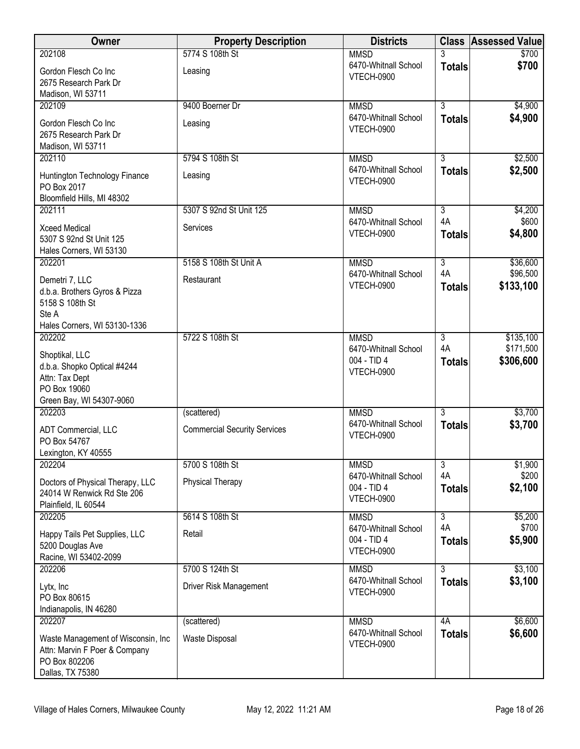| Owner                                                                                                     | <b>Property Description</b>         | <b>Districts</b>                                         |                      | <b>Class Assessed Value</b> |
|-----------------------------------------------------------------------------------------------------------|-------------------------------------|----------------------------------------------------------|----------------------|-----------------------------|
| 202108                                                                                                    | 5774 S 108th St                     | <b>MMSD</b>                                              |                      | \$700                       |
| Gordon Flesch Co Inc<br>2675 Research Park Dr                                                             | Leasing                             | 6470-Whitnall School<br>VTECH-0900                       | <b>Totals</b>        | \$700                       |
| Madison, WI 53711                                                                                         |                                     |                                                          |                      |                             |
| 202109                                                                                                    | 9400 Boerner Dr                     | <b>MMSD</b>                                              | $\overline{3}$       | \$4,900                     |
| Gordon Flesch Co Inc<br>2675 Research Park Dr                                                             | Leasing                             | 6470-Whitnall School<br><b>VTECH-0900</b>                | <b>Totals</b>        | \$4,900                     |
| Madison, WI 53711<br>202110                                                                               | 5794 S 108th St                     |                                                          | $\overline{3}$       |                             |
|                                                                                                           |                                     | <b>MMSD</b><br>6470-Whitnall School                      |                      | \$2,500<br>\$2,500          |
| Huntington Technology Finance<br>PO Box 2017<br>Bloomfield Hills, MI 48302                                | Leasing                             | VTECH-0900                                               | <b>Totals</b>        |                             |
| 202111                                                                                                    | 5307 S 92nd St Unit 125             | <b>MMSD</b>                                              | $\overline{3}$       | \$4,200                     |
|                                                                                                           |                                     | 6470-Whitnall School                                     | 4A                   | \$600                       |
| <b>Xceed Medical</b><br>5307 S 92nd St Unit 125<br>Hales Corners, WI 53130                                | Services                            | VTECH-0900                                               | <b>Totals</b>        | \$4,800                     |
| 202201                                                                                                    | 5158 S 108th St Unit A              | <b>MMSD</b>                                              | $\overline{3}$       | \$36,600                    |
| Demetri 7, LLC                                                                                            | Restaurant                          | 6470-Whitnall School                                     | 4A                   | \$96,500                    |
| d.b.a. Brothers Gyros & Pizza<br>5158 S 108th St<br>Ste A                                                 |                                     | <b>VTECH-0900</b>                                        | <b>Totals</b>        | \$133,100                   |
| Hales Corners, WI 53130-1336                                                                              |                                     |                                                          |                      |                             |
| 202202                                                                                                    | 5722 S 108th St                     | <b>MMSD</b>                                              | $\overline{3}$       | \$135,100                   |
| Shoptikal, LLC<br>d.b.a. Shopko Optical #4244<br>Attn: Tax Dept<br>PO Box 19060                           |                                     | 6470-Whitnall School<br>004 - TID 4<br>VTECH-0900        | 4A<br><b>Totals</b>  | \$171,500<br>\$306,600      |
| Green Bay, WI 54307-9060                                                                                  |                                     |                                                          |                      |                             |
| 202203                                                                                                    | (scattered)                         | <b>MMSD</b>                                              | $\overline{3}$       | \$3,700                     |
| ADT Commercial, LLC<br>PO Box 54767                                                                       | <b>Commercial Security Services</b> | 6470-Whitnall School<br>VTECH-0900                       | <b>Totals</b>        | \$3,700                     |
| Lexington, KY 40555                                                                                       |                                     |                                                          |                      |                             |
| 202204                                                                                                    | 5700 S 108th St                     | <b>MMSD</b><br>6470-Whitnall School                      | $\overline{3}$<br>4A | \$1,900<br>\$200            |
| Doctors of Physical Therapy, LLC<br>24014 W Renwick Rd Ste 206<br>Plainfield, IL 60544                    | <b>Physical Therapy</b>             | 004 - TID 4<br>VTECH-0900                                | <b>Totals</b>        | \$2,100                     |
| 202205                                                                                                    | 5614 S 108th St                     | <b>MMSD</b>                                              | $\overline{3}$       | \$5,200                     |
| Happy Tails Pet Supplies, LLC<br>5200 Douglas Ave<br>Racine, WI 53402-2099                                | Retail                              | 6470-Whitnall School<br>004 - TID 4<br><b>VTECH-0900</b> | 4A<br><b>Totals</b>  | \$700<br>\$5,900            |
| 202206                                                                                                    | 5700 S 124th St                     | <b>MMSD</b>                                              | $\overline{3}$       | \$3,100                     |
| Lytx, Inc<br>PO Box 80615<br>Indianapolis, IN 46280                                                       | Driver Risk Management              | 6470-Whitnall School<br>VTECH-0900                       | <b>Totals</b>        | \$3,100                     |
| 202207                                                                                                    | (scattered)                         | <b>MMSD</b>                                              | 4A                   | \$6,600                     |
| Waste Management of Wisconsin, Inc.<br>Attn: Marvin F Poer & Company<br>PO Box 802206<br>Dallas, TX 75380 | Waste Disposal                      | 6470-Whitnall School<br>VTECH-0900                       | <b>Totals</b>        | \$6,600                     |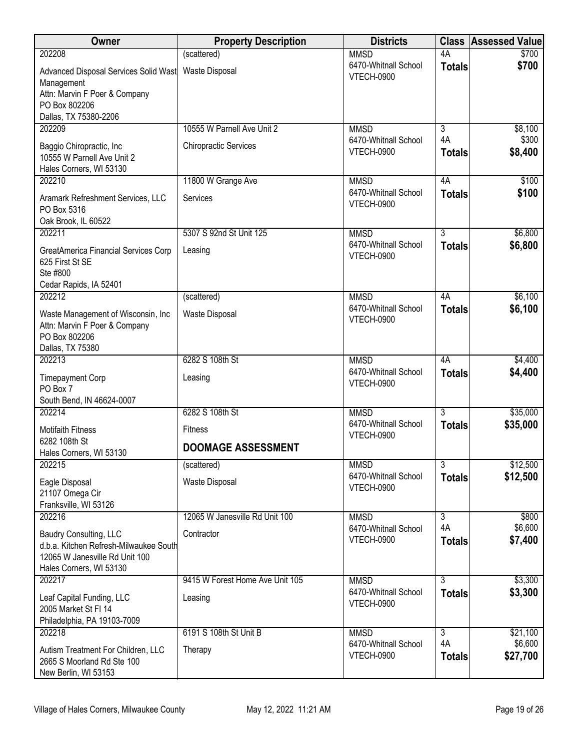| Owner                                                                                                                         | <b>Property Description</b>     | <b>Districts</b>                          | <b>Class</b>         | <b>Assessed Value</b> |
|-------------------------------------------------------------------------------------------------------------------------------|---------------------------------|-------------------------------------------|----------------------|-----------------------|
| 202208                                                                                                                        | (scattered)                     | <b>MMSD</b>                               | 4A                   | \$700                 |
| Advanced Disposal Services Solid Wast<br>Management<br>Attn: Marvin F Poer & Company<br>PO Box 802206                         | <b>Waste Disposal</b>           | 6470-Whitnall School<br><b>VTECH-0900</b> | <b>Totals</b>        | \$700                 |
| Dallas, TX 75380-2206                                                                                                         |                                 |                                           |                      |                       |
| 202209                                                                                                                        | 10555 W Parnell Ave Unit 2      | <b>MMSD</b>                               | 3                    | \$8,100               |
| Baggio Chiropractic, Inc<br>10555 W Parnell Ave Unit 2<br>Hales Corners, WI 53130                                             | <b>Chiropractic Services</b>    | 6470-Whitnall School<br><b>VTECH-0900</b> | 4A<br><b>Totals</b>  | \$300<br>\$8,400      |
| 202210                                                                                                                        | 11800 W Grange Ave              | <b>MMSD</b>                               | 4A                   | \$100                 |
| Aramark Refreshment Services, LLC<br>PO Box 5316<br>Oak Brook, IL 60522                                                       | Services                        | 6470-Whitnall School<br><b>VTECH-0900</b> | <b>Totals</b>        | \$100                 |
| 202211                                                                                                                        | 5307 S 92nd St Unit 125         | <b>MMSD</b>                               | $\overline{3}$       | \$6,800               |
| GreatAmerica Financial Services Corp<br>625 First St SE<br>Ste #800<br>Cedar Rapids, IA 52401                                 | Leasing                         | 6470-Whitnall School<br>VTECH-0900        | <b>Totals</b>        | \$6,800               |
| 202212                                                                                                                        | (scattered)                     | <b>MMSD</b>                               | 4A                   | \$6,100               |
| Waste Management of Wisconsin, Inc.<br>Attn: Marvin F Poer & Company<br>PO Box 802206<br>Dallas, TX 75380                     | Waste Disposal                  | 6470-Whitnall School<br><b>VTECH-0900</b> | <b>Totals</b>        | \$6,100               |
| 202213                                                                                                                        | 6282 S 108th St                 | <b>MMSD</b>                               | 4A                   | \$4,400               |
| <b>Timepayment Corp</b><br>PO Box 7<br>South Bend, IN 46624-0007                                                              | Leasing                         | 6470-Whitnall School<br><b>VTECH-0900</b> | <b>Totals</b>        | \$4,400               |
| 202214                                                                                                                        | 6282 S 108th St                 | <b>MMSD</b>                               | $\overline{3}$       | \$35,000              |
| <b>Motifaith Fitness</b>                                                                                                      | <b>Fitness</b>                  | 6470-Whitnall School                      | <b>Totals</b>        | \$35,000              |
| 6282 108th St                                                                                                                 | <b>DOOMAGE ASSESSMENT</b>       | VTECH-0900                                |                      |                       |
| Hales Corners, WI 53130<br>202215                                                                                             | (scattered)                     | <b>MMSD</b>                               | $\overline{3}$       | \$12,500              |
| Eagle Disposal<br>21107 Omega Cir<br>Franksville, WI 53126                                                                    | <b>Waste Disposal</b>           | 6470-Whitnall School<br><b>VTECH-0900</b> | <b>Totals</b>        | \$12,500              |
| 202216                                                                                                                        | 12065 W Janesville Rd Unit 100  | <b>MMSD</b>                               | 3                    | \$800                 |
| Baudry Consulting, LLC<br>d.b.a. Kitchen Refresh-Milwaukee South<br>12065 W Janesville Rd Unit 100<br>Hales Corners, WI 53130 | Contractor                      | 6470-Whitnall School<br><b>VTECH-0900</b> | 4A<br><b>Totals</b>  | \$6,600<br>\$7,400    |
| 202217                                                                                                                        | 9415 W Forest Home Ave Unit 105 | <b>MMSD</b>                               | 3                    | \$3,300               |
| Leaf Capital Funding, LLC<br>2005 Market St FI 14<br>Philadelphia, PA 19103-7009                                              | Leasing                         | 6470-Whitnall School<br><b>VTECH-0900</b> | <b>Totals</b>        | \$3,300               |
| 202218                                                                                                                        | 6191 S 108th St Unit B          | <b>MMSD</b>                               | $\overline{3}$<br>4A | \$21,100              |
| Autism Treatment For Children, LLC<br>2665 S Moorland Rd Ste 100<br>New Berlin, WI 53153                                      | Therapy                         | 6470-Whitnall School<br><b>VTECH-0900</b> | <b>Totals</b>        | \$6,600<br>\$27,700   |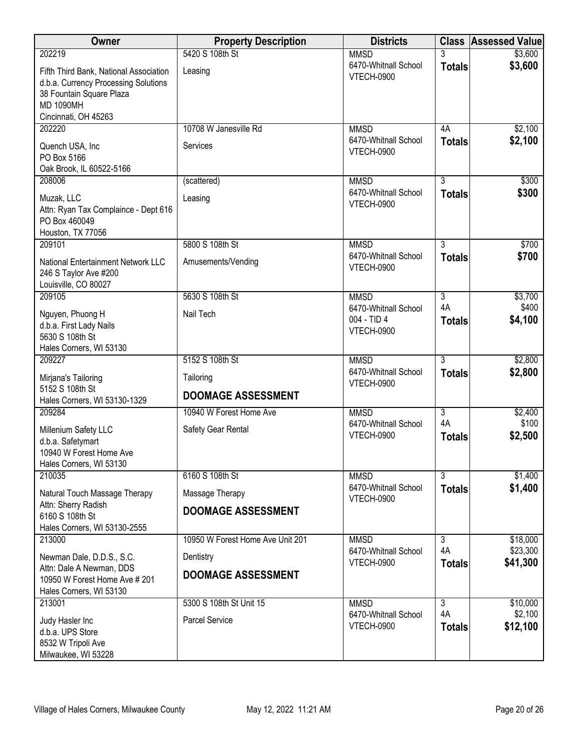| Owner                                                                                                                                                  | <b>Property Description</b>      | <b>Districts</b>                                         |                     | <b>Class Assessed Value</b> |
|--------------------------------------------------------------------------------------------------------------------------------------------------------|----------------------------------|----------------------------------------------------------|---------------------|-----------------------------|
| 202219                                                                                                                                                 | 5420 S 108th St                  | <b>MMSD</b>                                              | 3                   | \$3,600                     |
| Fifth Third Bank, National Association<br>d.b.a. Currency Processing Solutions<br>38 Fountain Square Plaza<br><b>MD 1090MH</b><br>Cincinnati, OH 45263 | Leasing                          | 6470-Whitnall School<br><b>VTECH-0900</b>                | <b>Totals</b>       | \$3,600                     |
| 202220                                                                                                                                                 | 10708 W Janesville Rd            | <b>MMSD</b>                                              | 4A                  | \$2,100                     |
| Quench USA, Inc<br>PO Box 5166<br>Oak Brook, IL 60522-5166                                                                                             | Services                         | 6470-Whitnall School<br>VTECH-0900                       | <b>Totals</b>       | \$2,100                     |
| 208006                                                                                                                                                 | (scattered)                      | <b>MMSD</b>                                              | $\overline{3}$      | \$300                       |
| Muzak, LLC<br>Attn: Ryan Tax Complaince - Dept 616<br>PO Box 460049<br>Houston, TX 77056                                                               | Leasing                          | 6470-Whitnall School<br>VTECH-0900                       | <b>Totals</b>       | \$300                       |
| 209101                                                                                                                                                 | 5800 S 108th St                  | <b>MMSD</b>                                              | $\overline{3}$      | \$700                       |
| National Entertainment Network LLC<br>246 S Taylor Ave #200<br>Louisville, CO 80027                                                                    | Amusements/Vending               | 6470-Whitnall School<br>VTECH-0900                       | <b>Totals</b>       | \$700                       |
| 209105                                                                                                                                                 | 5630 S 108th St                  | <b>MMSD</b>                                              | $\overline{3}$      | \$3,700                     |
| Nguyen, Phuong H<br>d.b.a. First Lady Nails<br>5630 S 108th St<br>Hales Corners, WI 53130                                                              | Nail Tech                        | 6470-Whitnall School<br>004 - TID 4<br><b>VTECH-0900</b> | 4A<br><b>Totals</b> | \$400<br>\$4,100            |
| 209227                                                                                                                                                 | 5152 S 108th St                  | <b>MMSD</b>                                              | $\overline{3}$      | \$2,800                     |
| Mirjana's Tailoring<br>5152 S 108th St                                                                                                                 | Tailoring                        | 6470-Whitnall School<br>VTECH-0900                       | <b>Totals</b>       | \$2,800                     |
| Hales Corners, WI 53130-1329                                                                                                                           | <b>DOOMAGE ASSESSMENT</b>        |                                                          |                     |                             |
| 209284                                                                                                                                                 | 10940 W Forest Home Ave          | <b>MMSD</b>                                              | 3                   | \$2,400                     |
| Millenium Safety LLC<br>d.b.a. Safetymart<br>10940 W Forest Home Ave<br>Hales Corners, WI 53130                                                        | Safety Gear Rental               | 6470-Whitnall School<br>VTECH-0900                       | 4A<br><b>Totals</b> | \$100<br>\$2,500            |
| 210035                                                                                                                                                 | 6160 S 108th St                  | <b>MMSD</b>                                              | $\overline{3}$      | \$1,400                     |
| Natural Touch Massage Therapy<br>Attn: Sherry Radish                                                                                                   | Massage Therapy                  | 6470-Whitnall School<br>VTECH-0900                       | <b>Totals</b>       | \$1,400                     |
| 6160 S 108th St<br>Hales Corners, WI 53130-2555                                                                                                        | <b>DOOMAGE ASSESSMENT</b>        |                                                          |                     |                             |
| 213000                                                                                                                                                 | 10950 W Forest Home Ave Unit 201 | <b>MMSD</b>                                              | $\overline{3}$      | \$18,000                    |
| Newman Dale, D.D.S., S.C.                                                                                                                              | Dentistry                        | 6470-Whitnall School<br><b>VTECH-0900</b>                | 4A<br><b>Totals</b> | \$23,300<br>\$41,300        |
| Attn: Dale A Newman, DDS<br>10950 W Forest Home Ave # 201<br>Hales Corners, WI 53130                                                                   | <b>DOOMAGE ASSESSMENT</b>        |                                                          |                     |                             |
| 213001                                                                                                                                                 | 5300 S 108th St Unit 15          | <b>MMSD</b>                                              | $\overline{3}$      | \$10,000                    |
| Judy Hasler Inc<br>d.b.a. UPS Store<br>8532 W Tripoli Ave<br>Milwaukee, WI 53228                                                                       | <b>Parcel Service</b>            | 6470-Whitnall School<br>VTECH-0900                       | 4A<br><b>Totals</b> | \$2,100<br>\$12,100         |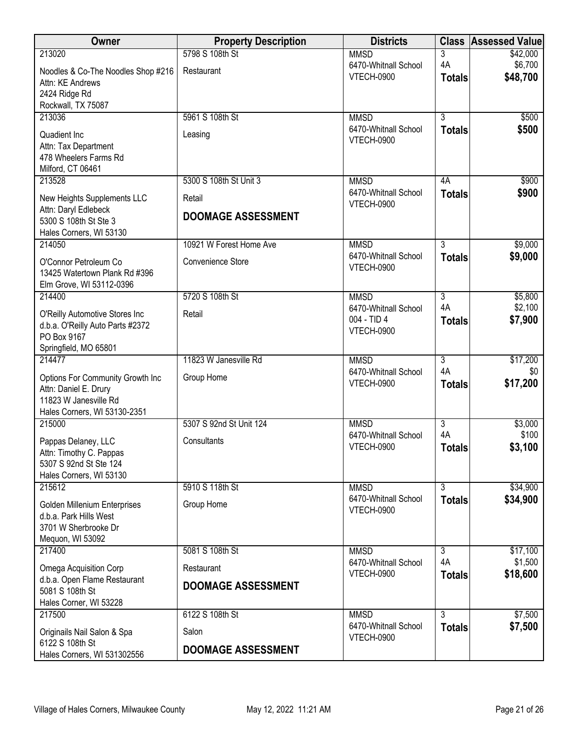| Owner                                                                    | <b>Property Description</b> | <b>Districts</b>                    | <b>Class</b>         | <b>Assessed Value</b> |
|--------------------------------------------------------------------------|-----------------------------|-------------------------------------|----------------------|-----------------------|
| 213020                                                                   | 5798 S 108th St             | <b>MMSD</b>                         | 3                    | \$42,000              |
| Noodles & Co-The Noodles Shop #216                                       | Restaurant                  | 6470-Whitnall School<br>VTECH-0900  | 4A                   | \$6,700<br>\$48,700   |
| Attn: KE Andrews                                                         |                             |                                     | <b>Totals</b>        |                       |
| 2424 Ridge Rd<br>Rockwall, TX 75087                                      |                             |                                     |                      |                       |
| 213036                                                                   | 5961 S 108th St             | <b>MMSD</b>                         | $\overline{3}$       | \$500                 |
| Quadient Inc                                                             |                             | 6470-Whitnall School                | <b>Totals</b>        | \$500                 |
| Attn: Tax Department                                                     | Leasing                     | <b>VTECH-0900</b>                   |                      |                       |
| 478 Wheelers Farms Rd                                                    |                             |                                     |                      |                       |
| Milford, CT 06461                                                        |                             |                                     |                      |                       |
| 213528                                                                   | 5300 S 108th St Unit 3      | <b>MMSD</b><br>6470-Whitnall School | 4A                   | \$900                 |
| New Heights Supplements LLC                                              | Retail                      | VTECH-0900                          | <b>Totals</b>        | \$900                 |
| Attn: Daryl Edlebeck<br>5300 S 108th St Ste 3<br>Hales Corners, WI 53130 | <b>DOOMAGE ASSESSMENT</b>   |                                     |                      |                       |
| 214050                                                                   | 10921 W Forest Home Ave     | <b>MMSD</b>                         | $\overline{3}$       | \$9,000               |
| O'Connor Petroleum Co                                                    | Convenience Store           | 6470-Whitnall School                | <b>Totals</b>        | \$9,000               |
| 13425 Watertown Plank Rd #396                                            |                             | VTECH-0900                          |                      |                       |
| Elm Grove, WI 53112-0396                                                 | 5720 S 108th St             |                                     |                      |                       |
| 214400                                                                   |                             | <b>MMSD</b><br>6470-Whitnall School | $\overline{3}$<br>4A | \$5,800<br>\$2,100    |
| O'Reilly Automotive Stores Inc                                           | Retail                      | 004 - TID 4                         | <b>Totals</b>        | \$7,900               |
| d.b.a. O'Reilly Auto Parts #2372<br>PO Box 9167                          |                             | <b>VTECH-0900</b>                   |                      |                       |
| Springfield, MO 65801                                                    |                             |                                     |                      |                       |
| 214477                                                                   | 11823 W Janesville Rd       | <b>MMSD</b>                         | $\overline{3}$       | \$17,200              |
| Options For Community Growth Inc                                         | Group Home                  | 6470-Whitnall School<br>VTECH-0900  | 4A                   | \$0<br>\$17,200       |
| Attn: Daniel E. Drury                                                    |                             |                                     | <b>Totals</b>        |                       |
| 11823 W Janesville Rd<br>Hales Corners, WI 53130-2351                    |                             |                                     |                      |                       |
| 215000                                                                   | 5307 S 92nd St Unit 124     | <b>MMSD</b>                         | $\overline{3}$       | \$3,000               |
| Pappas Delaney, LLC                                                      | Consultants                 | 6470-Whitnall School                | 4A                   | \$100                 |
| Attn: Timothy C. Pappas                                                  |                             | VTECH-0900                          | <b>Totals</b>        | \$3,100               |
| 5307 S 92nd St Ste 124                                                   |                             |                                     |                      |                       |
| Hales Corners, WI 53130<br>215612                                        | 5910 S 118th St             | <b>MMSD</b>                         | $\overline{3}$       | \$34,900              |
|                                                                          |                             | 6470-Whitnall School                | <b>Totals</b>        | \$34,900              |
| Golden Millenium Enterprises<br>d.b.a. Park Hills West                   | Group Home                  | VTECH-0900                          |                      |                       |
| 3701 W Sherbrooke Dr                                                     |                             |                                     |                      |                       |
| Mequon, WI 53092                                                         |                             |                                     |                      |                       |
| 217400                                                                   | 5081 S 108th St             | <b>MMSD</b>                         | $\overline{3}$       | \$17,100              |
| Omega Acquisition Corp                                                   | Restaurant                  | 6470-Whitnall School<br>VTECH-0900  | 4A<br><b>Totals</b>  | \$1,500<br>\$18,600   |
| d.b.a. Open Flame Restaurant                                             | <b>DOOMAGE ASSESSMENT</b>   |                                     |                      |                       |
| 5081 S 108th St<br>Hales Corner, WI 53228                                |                             |                                     |                      |                       |
| 217500                                                                   | 6122 S 108th St             | <b>MMSD</b>                         | $\overline{3}$       | \$7,500               |
| Originails Nail Salon & Spa                                              | Salon                       | 6470-Whitnall School                | <b>Totals</b>        | \$7,500               |
| 6122 S 108th St                                                          |                             | <b>VTECH-0900</b>                   |                      |                       |
| Hales Corners, WI 531302556                                              | <b>DOOMAGE ASSESSMENT</b>   |                                     |                      |                       |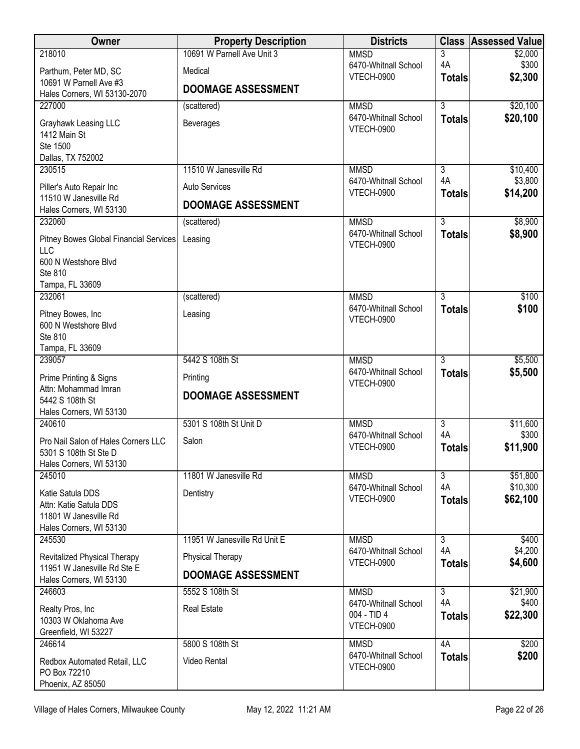| Owner                                                                                          | <b>Property Description</b>           | <b>Districts</b>                                         | <b>Class</b>        | <b>Assessed Value</b> |
|------------------------------------------------------------------------------------------------|---------------------------------------|----------------------------------------------------------|---------------------|-----------------------|
| 218010                                                                                         | 10691 W Parnell Ave Unit 3            | <b>MMSD</b>                                              | 3                   | \$2,000               |
| Parthum, Peter MD, SC                                                                          | Medical                               | 6470-Whitnall School<br><b>VTECH-0900</b>                | 4A<br><b>Totals</b> | \$300<br>\$2,300      |
| 10691 W Parnell Ave #3<br>Hales Corners, WI 53130-2070                                         | <b>DOOMAGE ASSESSMENT</b>             |                                                          |                     |                       |
| 227000                                                                                         | (scattered)                           | <b>MMSD</b>                                              | $\overline{3}$      | \$20,100              |
| Grayhawk Leasing LLC<br>1412 Main St<br>Ste 1500<br>Dallas, TX 752002                          | <b>Beverages</b>                      | 6470-Whitnall School<br>VTECH-0900                       | <b>Totals</b>       | \$20,100              |
| 230515                                                                                         | 11510 W Janesville Rd                 | <b>MMSD</b>                                              | 3                   | \$10,400              |
| Piller's Auto Repair Inc<br>11510 W Janesville Rd                                              | <b>Auto Services</b>                  | 6470-Whitnall School<br>VTECH-0900                       | 4A<br><b>Totals</b> | \$3,800<br>\$14,200   |
| Hales Corners, WI 53130                                                                        | <b>DOOMAGE ASSESSMENT</b>             |                                                          |                     |                       |
| 232060                                                                                         | (scattered)                           | <b>MMSD</b>                                              | $\overline{3}$      | \$8,900               |
| <b>Pitney Bowes Global Financial Services</b><br>LLC                                           | Leasing                               | 6470-Whitnall School<br>VTECH-0900                       | <b>Totals</b>       | \$8,900               |
| 600 N Westshore Blvd<br>Ste 810<br>Tampa, FL 33609                                             |                                       |                                                          |                     |                       |
| 232061                                                                                         | (scattered)                           | <b>MMSD</b>                                              | 3                   | \$100                 |
| Pitney Bowes, Inc<br>600 N Westshore Blvd<br>Ste 810                                           | Leasing                               | 6470-Whitnall School<br>VTECH-0900                       | <b>Totals</b>       | \$100                 |
| Tampa, FL 33609<br>239057                                                                      | 5442 S 108th St                       | <b>MMSD</b>                                              | $\overline{3}$      | \$5,500               |
| Prime Printing & Signs<br>Attn: Mohammad Imran                                                 | Printing<br><b>DOOMAGE ASSESSMENT</b> | 6470-Whitnall School<br><b>VTECH-0900</b>                | <b>Totals</b>       | \$5,500               |
| 5442 S 108th St<br>Hales Corners, WI 53130                                                     |                                       |                                                          |                     |                       |
| 240610                                                                                         | 5301 S 108th St Unit D                | <b>MMSD</b>                                              | $\overline{3}$      | \$11,600              |
| Pro Nail Salon of Hales Corners LLC<br>5301 S 108th St Ste D<br>Hales Corners, WI 53130        | Salon                                 | 6470-Whitnall School<br>VTECH-0900                       | 4A<br><b>Totals</b> | \$300<br>\$11,900     |
| 245010                                                                                         | 11801 W Janesville Rd                 | <b>MMSD</b>                                              | $\overline{3}$      | \$51,800              |
| Katie Satula DDS<br>Attn: Katie Satula DDS<br>11801 W Janesville Rd<br>Hales Corners, WI 53130 | Dentistry                             | 6470-Whitnall School<br>VTECH-0900                       | 4A<br><b>Totals</b> | \$10,300<br>\$62,100  |
| 245530                                                                                         | 11951 W Janesville Rd Unit E          | <b>MMSD</b>                                              | $\overline{3}$      | \$400                 |
| Revitalized Physical Therapy<br>11951 W Janesville Rd Ste E                                    | <b>Physical Therapy</b>               | 6470-Whitnall School<br><b>VTECH-0900</b>                | 4A<br><b>Totals</b> | \$4,200<br>\$4,600    |
| Hales Corners, WI 53130                                                                        | <b>DOOMAGE ASSESSMENT</b>             |                                                          |                     |                       |
| 246603                                                                                         | 5552 S 108th St                       | <b>MMSD</b>                                              | $\overline{3}$      | \$21,900              |
| Realty Pros, Inc<br>10303 W Oklahoma Ave<br>Greenfield, WI 53227                               | <b>Real Estate</b>                    | 6470-Whitnall School<br>004 - TID 4<br><b>VTECH-0900</b> | 4A<br><b>Totals</b> | \$400<br>\$22,300     |
| 246614                                                                                         | 5800 S 108th St                       | <b>MMSD</b>                                              | 4A                  | \$200                 |
| Redbox Automated Retail, LLC<br>PO Box 72210<br>Phoenix, AZ 85050                              | Video Rental                          | 6470-Whitnall School<br><b>VTECH-0900</b>                | <b>Totals</b>       | \$200                 |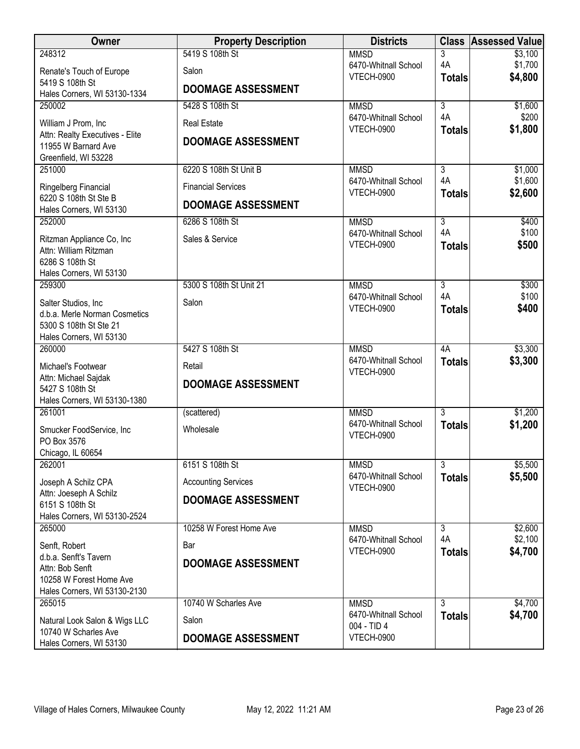| Owner                                                  | <b>Property Description</b> | <b>Districts</b>                          |                      | <b>Class Assessed Value</b> |
|--------------------------------------------------------|-----------------------------|-------------------------------------------|----------------------|-----------------------------|
| 248312                                                 | 5419 S 108th St             | <b>MMSD</b>                               | 3                    | \$3,100                     |
| Renate's Touch of Europe                               | Salon                       | 6470-Whitnall School<br><b>VTECH-0900</b> | 4A                   | \$1,700<br>\$4,800          |
| 5419 S 108th St                                        | <b>DOOMAGE ASSESSMENT</b>   |                                           | <b>Totals</b>        |                             |
| Hales Corners, WI 53130-1334                           |                             |                                           |                      |                             |
| 250002                                                 | 5428 S 108th St             | <b>MMSD</b><br>6470-Whitnall School       | $\overline{3}$<br>4A | \$1,600<br>\$200            |
| William J Prom, Inc.                                   | <b>Real Estate</b>          | <b>VTECH-0900</b>                         | <b>Totals</b>        | \$1,800                     |
| Attn: Realty Executives - Elite<br>11955 W Barnard Ave | <b>DOOMAGE ASSESSMENT</b>   |                                           |                      |                             |
| Greenfield, WI 53228                                   |                             |                                           |                      |                             |
| 251000                                                 | 6220 S 108th St Unit B      | <b>MMSD</b>                               | $\overline{3}$       | \$1,000                     |
| Ringelberg Financial                                   | <b>Financial Services</b>   | 6470-Whitnall School                      | 4A                   | \$1,600                     |
| 6220 S 108th St Ste B                                  |                             | VTECH-0900                                | <b>Totals</b>        | \$2,600                     |
| Hales Corners, WI 53130                                | <b>DOOMAGE ASSESSMENT</b>   |                                           |                      |                             |
| 252000                                                 | 6286 S 108th St             | <b>MMSD</b>                               | $\overline{3}$       | \$400                       |
| Ritzman Appliance Co, Inc                              | Sales & Service             | 6470-Whitnall School<br><b>VTECH-0900</b> | 4A                   | \$100<br>\$500              |
| Attn: William Ritzman                                  |                             |                                           | <b>Totals</b>        |                             |
| 6286 S 108th St                                        |                             |                                           |                      |                             |
| Hales Corners, WI 53130<br>259300                      | 5300 S 108th St Unit 21     | <b>MMSD</b>                               | $\overline{3}$       | \$300                       |
|                                                        |                             | 6470-Whitnall School                      | 4A                   | \$100                       |
| Salter Studios, Inc<br>d.b.a. Merle Norman Cosmetics   | Salon                       | VTECH-0900                                | <b>Totals</b>        | \$400                       |
| 5300 S 108th St Ste 21                                 |                             |                                           |                      |                             |
| Hales Corners, WI 53130                                |                             |                                           |                      |                             |
| 260000                                                 | 5427 S 108th St             | <b>MMSD</b>                               | 4A                   | \$3,300                     |
| Michael's Footwear                                     | Retail                      | 6470-Whitnall School                      | <b>Totals</b>        | \$3,300                     |
| Attn: Michael Sajdak                                   | <b>DOOMAGE ASSESSMENT</b>   | VTECH-0900                                |                      |                             |
| 5427 S 108th St                                        |                             |                                           |                      |                             |
| Hales Corners, WI 53130-1380<br>261001                 | (scattered)                 | <b>MMSD</b>                               | $\overline{3}$       | \$1,200                     |
|                                                        |                             | 6470-Whitnall School                      | <b>Totals</b>        | \$1,200                     |
| Smucker FoodService, Inc<br>PO Box 3576                | Wholesale                   | VTECH-0900                                |                      |                             |
| Chicago, IL 60654                                      |                             |                                           |                      |                             |
| 262001                                                 | 6151 S 108th St             | <b>MMSD</b>                               | $\overline{3}$       | \$5,500                     |
| Joseph A Schilz CPA                                    | <b>Accounting Services</b>  | 6470-Whitnall School                      | <b>Totals</b>        | \$5,500                     |
| Attn: Joeseph A Schilz                                 |                             | VTECH-0900                                |                      |                             |
| 6151 S 108th St                                        | <b>DOOMAGE ASSESSMENT</b>   |                                           |                      |                             |
| Hales Corners, WI 53130-2524                           | 10258 W Forest Home Ave     |                                           |                      |                             |
| 265000                                                 |                             | <b>MMSD</b><br>6470-Whitnall School       | $\overline{3}$<br>4A | \$2,600<br>\$2,100          |
| Senft, Robert                                          | Bar                         | <b>VTECH-0900</b>                         | <b>Totals</b>        | \$4,700                     |
| d.b.a. Senft's Tavern<br>Attn: Bob Senft               | <b>DOOMAGE ASSESSMENT</b>   |                                           |                      |                             |
| 10258 W Forest Home Ave                                |                             |                                           |                      |                             |
| Hales Corners, WI 53130-2130                           |                             |                                           |                      |                             |
| 265015                                                 | 10740 W Scharles Ave        | <b>MMSD</b>                               | $\overline{3}$       | \$4,700                     |
| Natural Look Salon & Wigs LLC                          | Salon                       | 6470-Whitnall School<br>004 - TID 4       | <b>Totals</b>        | \$4,700                     |
| 10740 W Scharles Ave                                   | <b>DOOMAGE ASSESSMENT</b>   | <b>VTECH-0900</b>                         |                      |                             |
| Hales Corners, WI 53130                                |                             |                                           |                      |                             |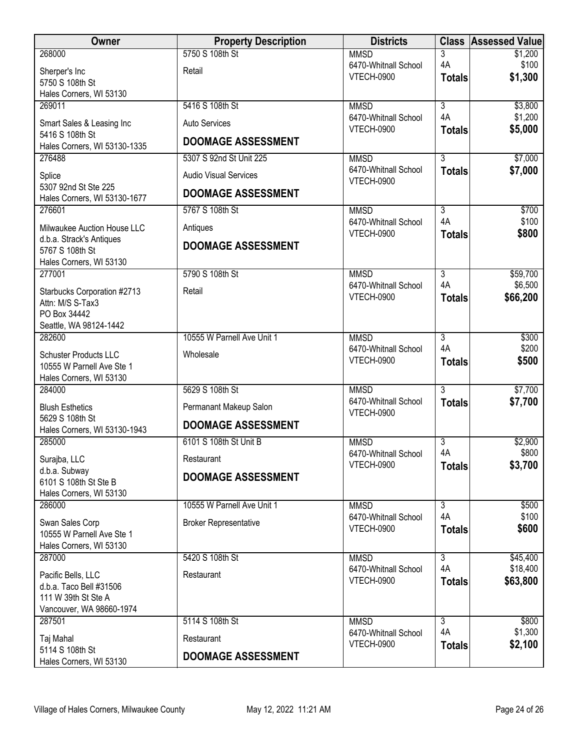| <b>Owner</b>                                    | <b>Property Description</b>  | <b>Districts</b>                          |                      | <b>Class Assessed Value</b> |
|-------------------------------------------------|------------------------------|-------------------------------------------|----------------------|-----------------------------|
| 268000                                          | 5750 S 108th St              | <b>MMSD</b>                               | 3                    | \$1,200                     |
| Sherper's Inc                                   | Retail                       | 6470-Whitnall School<br><b>VTECH-0900</b> | 4A                   | \$100                       |
| 5750 S 108th St                                 |                              |                                           | <b>Totals</b>        | \$1,300                     |
| Hales Corners, WI 53130                         |                              |                                           |                      |                             |
| 269011                                          | 5416 S 108th St              | <b>MMSD</b><br>6470-Whitnall School       | $\overline{3}$<br>4A | \$3,800<br>\$1,200          |
| Smart Sales & Leasing Inc                       | Auto Services                | <b>VTECH-0900</b>                         | <b>Totals</b>        | \$5,000                     |
| 5416 S 108th St                                 | <b>DOOMAGE ASSESSMENT</b>    |                                           |                      |                             |
| Hales Corners, WI 53130-1335<br>276488          | 5307 S 92nd St Unit 225      | <b>MMSD</b>                               | $\overline{3}$       | \$7,000                     |
|                                                 |                              | 6470-Whitnall School                      | <b>Totals</b>        | \$7,000                     |
| Splice<br>5307 92nd St Ste 225                  | <b>Audio Visual Services</b> | <b>VTECH-0900</b>                         |                      |                             |
| Hales Corners, WI 53130-1677                    | <b>DOOMAGE ASSESSMENT</b>    |                                           |                      |                             |
| 276601                                          | 5767 S 108th St              | <b>MMSD</b>                               | $\overline{3}$       | \$700                       |
| Milwaukee Auction House LLC                     | Antiques                     | 6470-Whitnall School<br><b>VTECH-0900</b> | 4A                   | \$100<br>\$800              |
| d.b.a. Strack's Antiques                        | <b>DOOMAGE ASSESSMENT</b>    |                                           | <b>Totals</b>        |                             |
| 5767 S 108th St                                 |                              |                                           |                      |                             |
| Hales Corners, WI 53130<br>277001               | 5790 S 108th St              | <b>MMSD</b>                               | $\overline{3}$       | \$59,700                    |
|                                                 |                              | 6470-Whitnall School                      | 4A                   | \$6,500                     |
| Starbucks Corporation #2713<br>Attn: M/S S-Tax3 | Retail                       | VTECH-0900                                | <b>Totals</b>        | \$66,200                    |
| PO Box 34442                                    |                              |                                           |                      |                             |
| Seattle, WA 98124-1442                          |                              |                                           |                      |                             |
| 282600                                          | 10555 W Parnell Ave Unit 1   | <b>MMSD</b>                               | $\overline{3}$       | \$300                       |
| <b>Schuster Products LLC</b>                    | Wholesale                    | 6470-Whitnall School                      | 4A                   | \$200                       |
| 10555 W Parnell Ave Ste 1                       |                              | <b>VTECH-0900</b>                         | <b>Totals</b>        | \$500                       |
| Hales Corners, WI 53130                         |                              |                                           |                      |                             |
| 284000                                          | 5629 S 108th St              | <b>MMSD</b>                               | $\overline{3}$       | \$7,700                     |
| <b>Blush Esthetics</b>                          | Permanant Makeup Salon       | 6470-Whitnall School<br>VTECH-0900        | <b>Totals</b>        | \$7,700                     |
| 5629 S 108th St<br>Hales Corners, WI 53130-1943 | <b>DOOMAGE ASSESSMENT</b>    |                                           |                      |                             |
| 285000                                          | 6101 S 108th St Unit B       | <b>MMSD</b>                               | 3                    | \$2,900                     |
|                                                 |                              | 6470-Whitnall School                      | 4A                   | \$800                       |
| Surajba, LLC<br>d.b.a. Subway                   | Restaurant                   | VTECH-0900                                | <b>Totals</b>        | \$3,700                     |
| 6101 S 108th St Ste B                           | <b>DOOMAGE ASSESSMENT</b>    |                                           |                      |                             |
| Hales Corners, WI 53130                         |                              |                                           |                      |                             |
| 286000                                          | 10555 W Parnell Ave Unit 1   | <b>MMSD</b>                               | $\overline{3}$       | \$500                       |
| Swan Sales Corp                                 | <b>Broker Representative</b> | 6470-Whitnall School                      | 4A                   | \$100                       |
| 10555 W Parnell Ave Ste 1                       |                              | VTECH-0900                                | <b>Totals</b>        | \$600                       |
| Hales Corners, WI 53130                         |                              |                                           |                      |                             |
| 287000                                          | 5420 S 108th St              | <b>MMSD</b>                               | $\overline{3}$<br>4A | \$45,400<br>\$18,400        |
| Pacific Bells, LLC                              | Restaurant                   | 6470-Whitnall School<br><b>VTECH-0900</b> | <b>Totals</b>        | \$63,800                    |
| d.b.a. Taco Bell #31506                         |                              |                                           |                      |                             |
| 111 W 39th St Ste A<br>Vancouver, WA 98660-1974 |                              |                                           |                      |                             |
| 287501                                          | 5114 S 108th St              | <b>MMSD</b>                               | $\overline{3}$       | \$800                       |
| Taj Mahal                                       | Restaurant                   | 6470-Whitnall School                      | 4A                   | \$1,300                     |
| 5114 S 108th St                                 |                              | <b>VTECH-0900</b>                         | <b>Totals</b>        | \$2,100                     |
| Hales Corners, WI 53130                         | <b>DOOMAGE ASSESSMENT</b>    |                                           |                      |                             |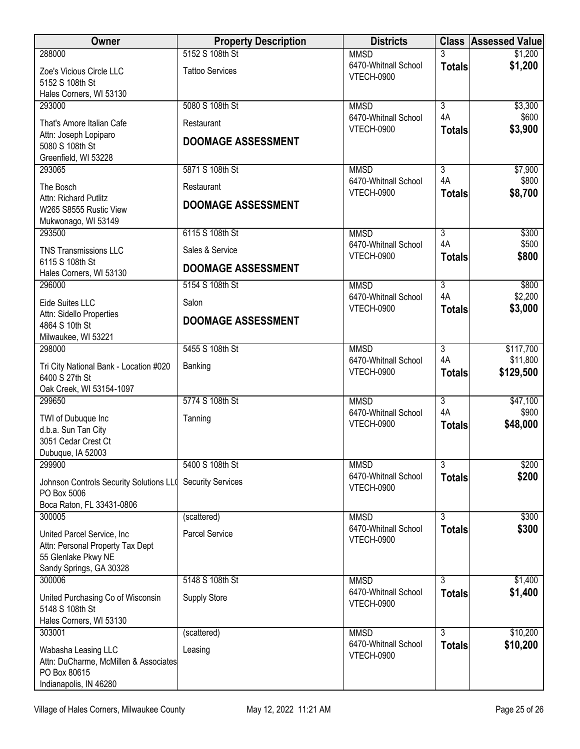| Owner                                                                                                            | <b>Property Description</b>             | <b>Districts</b>                                         |                                       | <b>Class Assessed Value</b> |
|------------------------------------------------------------------------------------------------------------------|-----------------------------------------|----------------------------------------------------------|---------------------------------------|-----------------------------|
| 288000                                                                                                           | 5152 S 108th St                         | <b>MMSD</b>                                              | 3                                     | \$1,200                     |
| Zoe's Vicious Circle LLC<br>5152 S 108th St<br>Hales Corners, WI 53130                                           | <b>Tattoo Services</b>                  | 6470-Whitnall School<br><b>VTECH-0900</b>                | <b>Totals</b>                         | \$1,200                     |
| 293000                                                                                                           | 5080 S 108th St                         | <b>MMSD</b>                                              | $\overline{3}$                        | \$3,300                     |
| That's Amore Italian Cafe<br>Attn: Joseph Lopiparo<br>5080 S 108th St<br>Greenfield, WI 53228                    | Restaurant<br><b>DOOMAGE ASSESSMENT</b> | 6470-Whitnall School<br><b>VTECH-0900</b>                | 4A<br><b>Totals</b>                   | \$600<br>\$3,900            |
| 293065                                                                                                           | 5871 S 108th St                         | <b>MMSD</b>                                              | $\overline{3}$                        | \$7,900                     |
| The Bosch<br>Attn: Richard Putlitz<br>W265 S8555 Rustic View<br>Mukwonago, WI 53149                              | Restaurant<br><b>DOOMAGE ASSESSMENT</b> | 6470-Whitnall School<br><b>VTECH-0900</b>                | 4A<br><b>Totals</b>                   | \$800<br>\$8,700            |
| 293500                                                                                                           | 6115 S 108th St                         | <b>MMSD</b>                                              | $\overline{3}$                        | \$300                       |
| <b>TNS Transmissions LLC</b><br>6115 S 108th St                                                                  | Sales & Service                         | 6470-Whitnall School<br><b>VTECH-0900</b>                | 4A<br><b>Totals</b>                   | \$500<br>\$800              |
| Hales Corners, WI 53130                                                                                          | <b>DOOMAGE ASSESSMENT</b>               |                                                          |                                       |                             |
| 296000<br>Eide Suites LLC                                                                                        | 5154 S 108th St<br>Salon                | <b>MMSD</b><br>6470-Whitnall School<br><b>VTECH-0900</b> | $\overline{3}$<br>4A<br><b>Totals</b> | \$800<br>\$2,200<br>\$3,000 |
| Attn: Sidello Properties<br>4864 S 10th St<br>Milwaukee, WI 53221                                                | <b>DOOMAGE ASSESSMENT</b>               |                                                          |                                       |                             |
| 298000                                                                                                           | 5455 S 108th St                         | <b>MMSD</b>                                              | $\overline{3}$                        | \$117,700                   |
| Tri City National Bank - Location #020<br>6400 S 27th St<br>Oak Creek, WI 53154-1097                             | Banking                                 | 6470-Whitnall School<br><b>VTECH-0900</b>                | 4A<br><b>Totals</b>                   | \$11,800<br>\$129,500       |
| 299650                                                                                                           | 5774 S 108th St                         | <b>MMSD</b>                                              | $\overline{3}$                        | \$47,100                    |
| TWI of Dubuque Inc<br>d.b.a. Sun Tan City<br>3051 Cedar Crest Ct<br>Dubuque, IA 52003                            | Tanning                                 | 6470-Whitnall School<br><b>VTECH-0900</b>                | 4A<br><b>Totals</b>                   | \$900<br>\$48,000           |
| 299900                                                                                                           | 5400 S 108th St                         | <b>MMSD</b>                                              | $\overline{3}$                        | \$200                       |
| Johnson Controls Security Solutions LLO<br>PO Box 5006<br>Boca Raton, FL 33431-0806                              | <b>Security Services</b>                | 6470-Whitnall School<br><b>VTECH-0900</b>                | <b>Totals</b>                         | \$200                       |
| 300005                                                                                                           | (scattered)                             | <b>MMSD</b>                                              | $\overline{3}$                        | \$300                       |
| United Parcel Service, Inc<br>Attn: Personal Property Tax Dept<br>55 Glenlake Pkwy NE<br>Sandy Springs, GA 30328 | Parcel Service                          | 6470-Whitnall School<br><b>VTECH-0900</b>                | <b>Totals</b>                         | \$300                       |
| 300006                                                                                                           | 5148 S 108th St                         | <b>MMSD</b>                                              | $\overline{3}$                        | \$1,400                     |
| United Purchasing Co of Wisconsin<br>5148 S 108th St<br>Hales Corners, WI 53130                                  | <b>Supply Store</b>                     | 6470-Whitnall School<br><b>VTECH-0900</b>                | <b>Totals</b>                         | \$1,400                     |
| 303001                                                                                                           | (scattered)                             | <b>MMSD</b>                                              | $\overline{3}$                        | \$10,200                    |
| Wabasha Leasing LLC<br>Attn: DuCharme, McMillen & Associates<br>PO Box 80615<br>Indianapolis, IN 46280           | Leasing                                 | 6470-Whitnall School<br><b>VTECH-0900</b>                | <b>Totals</b>                         | \$10,200                    |